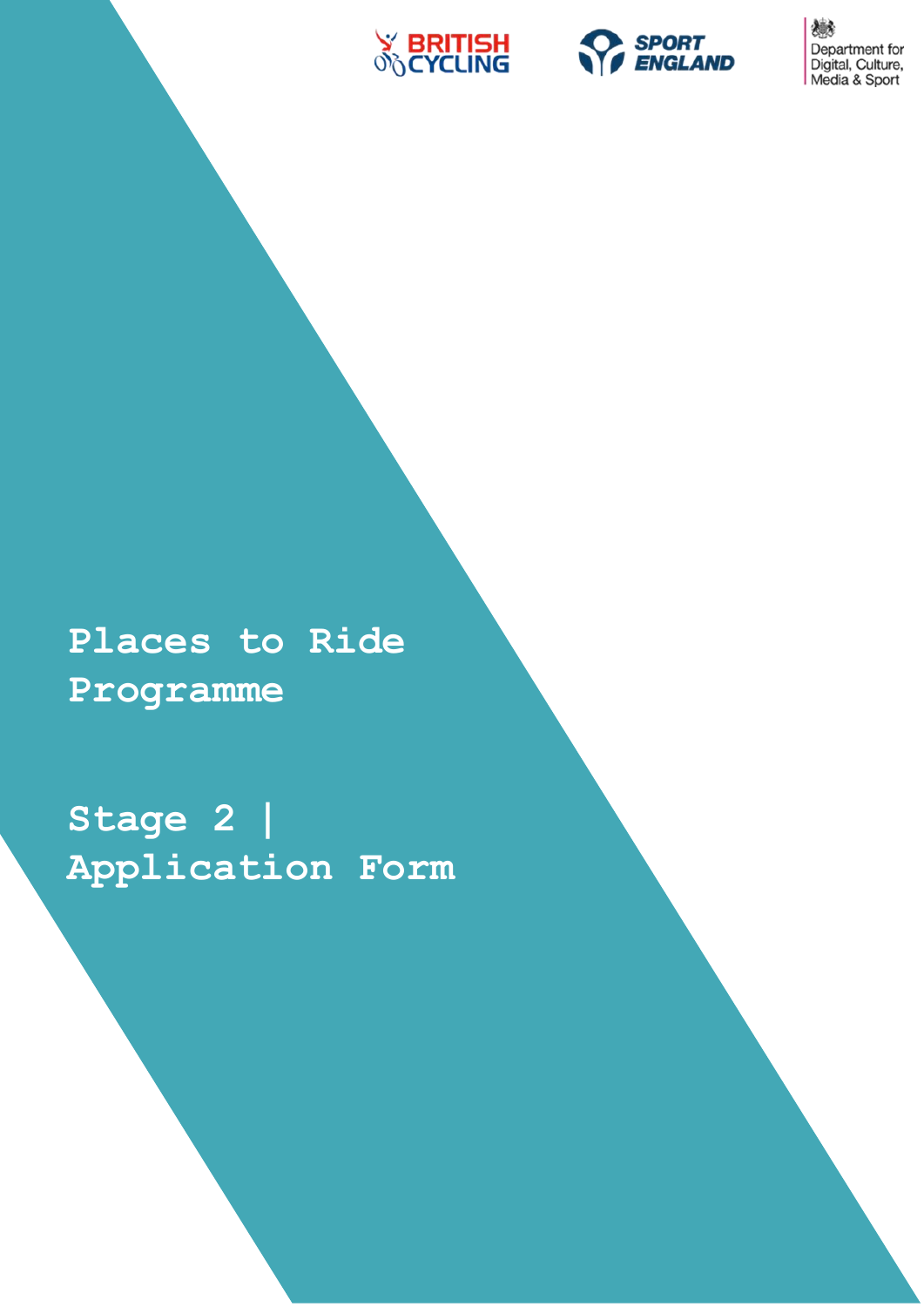



戀 Department for<br>Digital, Culture,<br>Media & Sport

**Places to Ride Programme**

**Stage 2 | Application Form**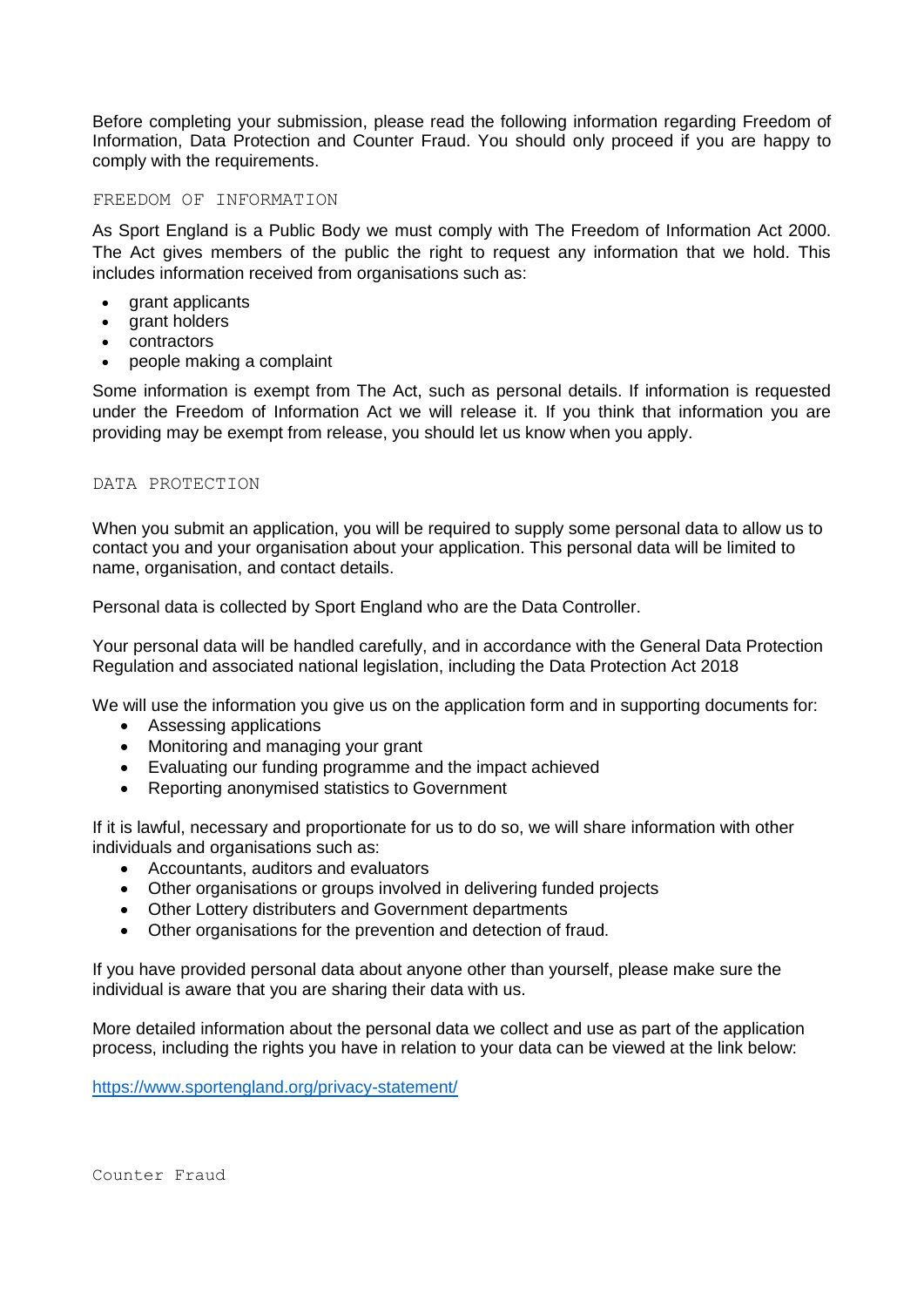Before completing your submission, please read the following information regarding Freedom of Information, Data Protection and Counter Fraud. You should only proceed if you are happy to comply with the requirements.

#### FREEDOM OF INFORMATION

As Sport England is a Public Body we must comply with The Freedom of Information Act 2000. The Act gives members of the public the right to request any information that we hold. This includes information received from organisations such as:

- grant applicants
- grant holders
- contractors
- people making a complaint

Some information is exempt from The Act, such as personal details. If information is requested under the Freedom of Information Act we will release it. If you think that information you are providing may be exempt from release, you should let us know when you apply.

#### DATA PROTECTION

When you submit an application, you will be required to supply some personal data to allow us to contact you and your organisation about your application. This personal data will be limited to name, organisation, and contact details.

Personal data is collected by Sport England who are the Data Controller.

Your personal data will be handled carefully, and in accordance with the General Data Protection Regulation and associated national legislation, including the Data Protection Act 2018

We will use the information you give us on the application form and in supporting documents for:

- Assessing applications
- Monitoring and managing your grant
- Evaluating our funding programme and the impact achieved
- Reporting anonymised statistics to Government

If it is lawful, necessary and proportionate for us to do so, we will share information with other individuals and organisations such as:

- Accountants, auditors and evaluators
- Other organisations or groups involved in delivering funded projects
- Other Lottery distributers and Government departments
- Other organisations for the prevention and detection of fraud.

If you have provided personal data about anyone other than yourself, please make sure the individual is aware that you are sharing their data with us.

More detailed information about the personal data we collect and use as part of the application process, including the rights you have in relation to your data can be viewed at the link below:

<https://www.sportengland.org/privacy-statement/>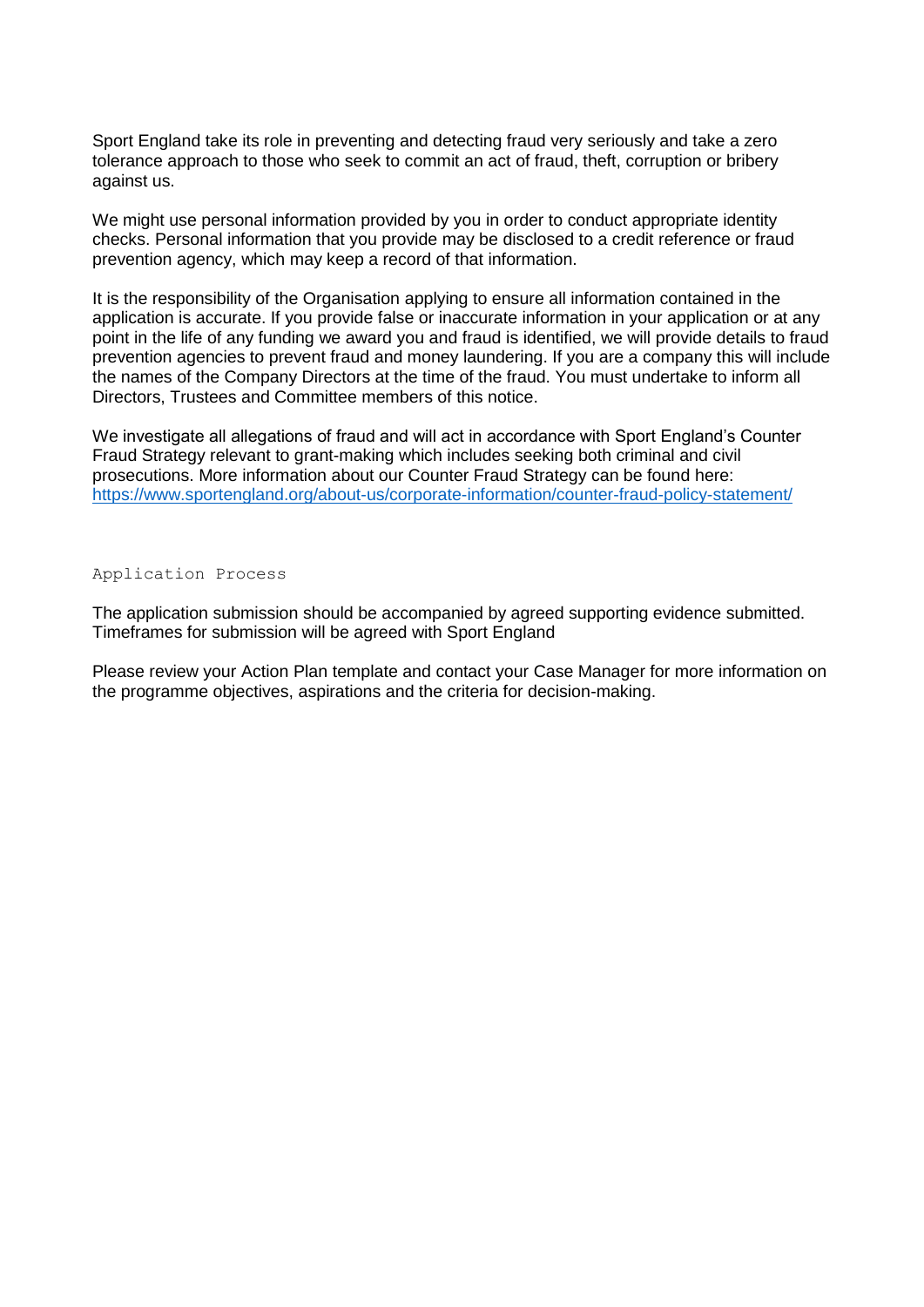Sport England take its role in preventing and detecting fraud very seriously and take a zero tolerance approach to those who seek to commit an act of fraud, theft, corruption or bribery against us.

We might use personal information provided by you in order to conduct appropriate identity checks. Personal information that you provide may be disclosed to a credit reference or fraud prevention agency, which may keep a record of that information.

It is the responsibility of the Organisation applying to ensure all information contained in the application is accurate. If you provide false or inaccurate information in your application or at any point in the life of any funding we award you and fraud is identified, we will provide details to fraud prevention agencies to prevent fraud and money laundering. If you are a company this will include the names of the Company Directors at the time of the fraud. You must undertake to inform all Directors, Trustees and Committee members of this notice.

We investigate all allegations of fraud and will act in accordance with Sport England's Counter Fraud Strategy relevant to grant-making which includes seeking both criminal and civil prosecutions. More information about our Counter Fraud Strategy can be found here: <https://www.sportengland.org/about-us/corporate-information/counter-fraud-policy-statement/>

Application Process

The application submission should be accompanied by agreed supporting evidence submitted. Timeframes for submission will be agreed with Sport England

Please review your Action Plan template and contact your Case Manager for more information on the programme objectives, aspirations and the criteria for decision-making.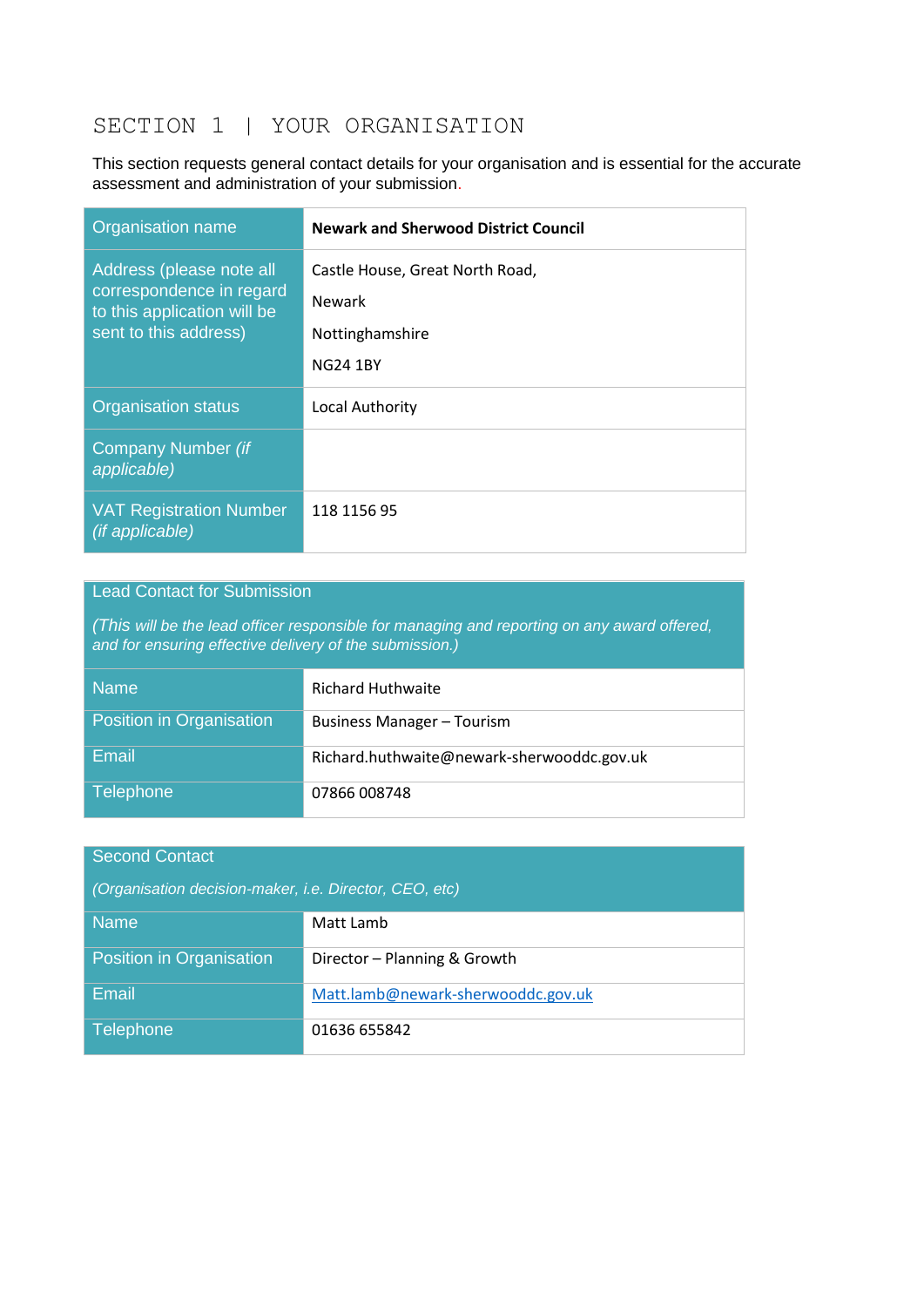# SECTION 1 | YOUR ORGANISATION

This section requests general contact details for your organisation and is essential for the accurate assessment and administration of your submission.

| Organisation name                                                                                            | <b>Newark and Sherwood District Council</b>                                            |
|--------------------------------------------------------------------------------------------------------------|----------------------------------------------------------------------------------------|
| Address (please note all<br>correspondence in regard<br>to this application will be<br>sent to this address) | Castle House, Great North Road,<br><b>Newark</b><br>Nottinghamshire<br><b>NG24 1BY</b> |
| <b>Organisation status</b>                                                                                   | <b>Local Authority</b>                                                                 |
| Company Number (if<br>applicable)                                                                            |                                                                                        |
| <b>VAT Registration Number</b><br><i>(if applicable)</i>                                                     | 118 1156 95                                                                            |

# Lead Contact for Submission

*(This will be the lead officer responsible for managing and reporting on any award offered, and for ensuring effective delivery of the submission.)*

| <b>Name</b>              | Richard Huthwaite                          |
|--------------------------|--------------------------------------------|
| Position in Organisation | Business Manager - Tourism                 |
| Email                    | Richard.huthwaite@newark-sherwooddc.gov.uk |
| <b>Telephone</b>         | 07866 008748                               |

| <b>Second Contact</b>                                  |                                    |  |  |
|--------------------------------------------------------|------------------------------------|--|--|
| (Organisation decision-maker, i.e. Director, CEO, etc) |                                    |  |  |
| <b>Name</b>                                            | Matt Lamb                          |  |  |
| Position in Organisation                               | Director - Planning & Growth       |  |  |
| Email                                                  | Matt.lamb@newark-sherwooddc.gov.uk |  |  |
| <b>Telephone</b>                                       | 01636 655842                       |  |  |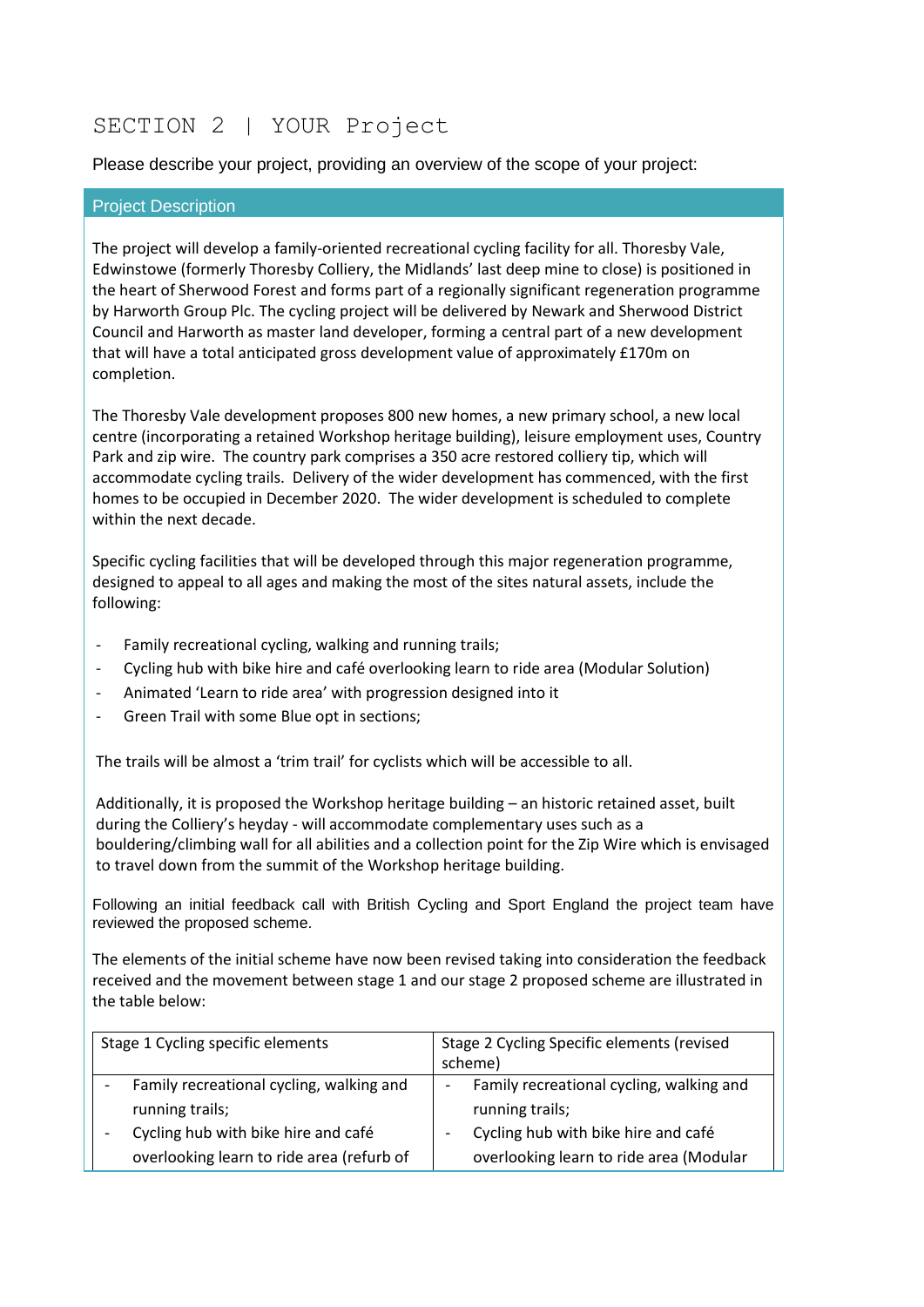# SECTION 2 | YOUR Project

Please describe your project, providing an overview of the scope of your project:

#### Project Description

The project will develop a family-oriented recreational cycling facility for all. Thoresby Vale, Edwinstowe (formerly Thoresby Colliery, the Midlands' last deep mine to close) is positioned in the heart of Sherwood Forest and forms part of a regionally significant regeneration programme by Harworth Group Plc. The cycling project will be delivered by Newark and Sherwood District Council and Harworth as master land developer, forming a central part of a new development that will have a total anticipated gross development value of approximately £170m on completion.

The Thoresby Vale development proposes 800 new homes, a new primary school, a new local centre (incorporating a retained Workshop heritage building), leisure employment uses, Country Park and zip wire. The country park comprises a 350 acre restored colliery tip, which will accommodate cycling trails. Delivery of the wider development has commenced, with the first homes to be occupied in December 2020. The wider development is scheduled to complete within the next decade.

Specific cycling facilities that will be developed through this major regeneration programme, designed to appeal to all ages and making the most of the sites natural assets, include the following:

- Family recreational cycling, walking and running trails;
- Cycling hub with bike hire and café overlooking learn to ride area (Modular Solution)
- Animated 'Learn to ride area' with progression designed into it
- Green Trail with some Blue opt in sections;

The trails will be almost a 'trim trail' for cyclists which will be accessible to all.

Additionally, it is proposed the Workshop heritage building – an historic retained asset, built during the Colliery's heyday - will accommodate complementary uses such as a bouldering/climbing wall for all abilities and a collection point for the Zip Wire which is envisaged to travel down from the summit of the Workshop heritage building.

Following an initial feedback call with British Cycling and Sport England the project team have reviewed the proposed scheme.

The elements of the initial scheme have now been revised taking into consideration the feedback received and the movement between stage 1 and our stage 2 proposed scheme are illustrated in the table below:

| Stage 1 Cycling specific elements         | Stage 2 Cycling Specific elements (revised<br>scheme) |  |
|-------------------------------------------|-------------------------------------------------------|--|
| Family recreational cycling, walking and  | Family recreational cycling, walking and              |  |
| running trails;                           | running trails;                                       |  |
| Cycling hub with bike hire and café       | Cycling hub with bike hire and café                   |  |
| overlooking learn to ride area (refurb of | overlooking learn to ride area (Modular               |  |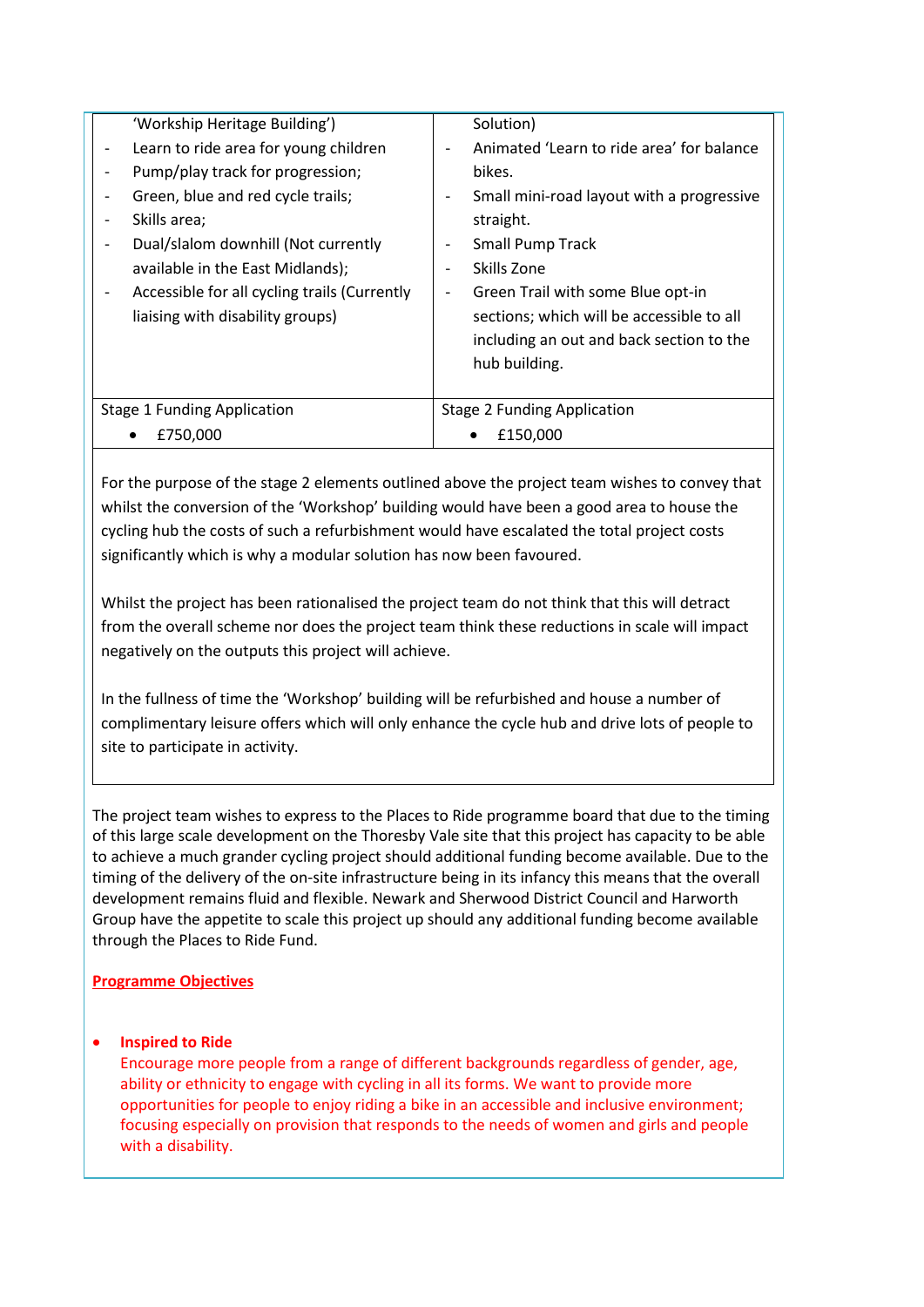| 'Workship Heritage Building')                |                          | Solution)                                 |
|----------------------------------------------|--------------------------|-------------------------------------------|
| Learn to ride area for young children        |                          | Animated 'Learn to ride area' for balance |
| Pump/play track for progression;             |                          | bikes.                                    |
| Green, blue and red cycle trails;            |                          | Small mini-road layout with a progressive |
| Skills area;                                 |                          | straight.                                 |
| Dual/slalom downhill (Not currently          |                          | <b>Small Pump Track</b>                   |
| available in the East Midlands);             |                          | Skills Zone                               |
| Accessible for all cycling trails (Currently | $\overline{\phantom{a}}$ | Green Trail with some Blue opt-in         |
| liaising with disability groups)             |                          | sections; which will be accessible to all |
|                                              |                          | including an out and back section to the  |
|                                              |                          | hub building.                             |
|                                              |                          |                                           |
| <b>Stage 1 Funding Application</b>           |                          | <b>Stage 2 Funding Application</b>        |
| £750,000                                     |                          | £150.000                                  |
|                                              |                          |                                           |

For the purpose of the stage 2 elements outlined above the project team wishes to convey that whilst the conversion of the 'Workshop' building would have been a good area to house the cycling hub the costs of such a refurbishment would have escalated the total project costs significantly which is why a modular solution has now been favoured.

Whilst the project has been rationalised the project team do not think that this will detract from the overall scheme nor does the project team think these reductions in scale will impact negatively on the outputs this project will achieve.

In the fullness of time the 'Workshop' building will be refurbished and house a number of complimentary leisure offers which will only enhance the cycle hub and drive lots of people to site to participate in activity.

The project team wishes to express to the Places to Ride programme board that due to the timing of this large scale development on the Thoresby Vale site that this project has capacity to be able to achieve a much grander cycling project should additional funding become available. Due to the timing of the delivery of the on-site infrastructure being in its infancy this means that the overall development remains fluid and flexible. Newark and Sherwood District Council and Harworth Group have the appetite to scale this project up should any additional funding become available through the Places to Ride Fund.

# **Programme Objectives**

**•** Inspired to Ride

Encourage more people from a range of different backgrounds regardless of gender, age, ability or ethnicity to engage with cycling in all its forms. We want to provide more opportunities for people to enjoy riding a bike in an accessible and inclusive environment; focusing especially on provision that responds to the needs of women and girls and people with a disability.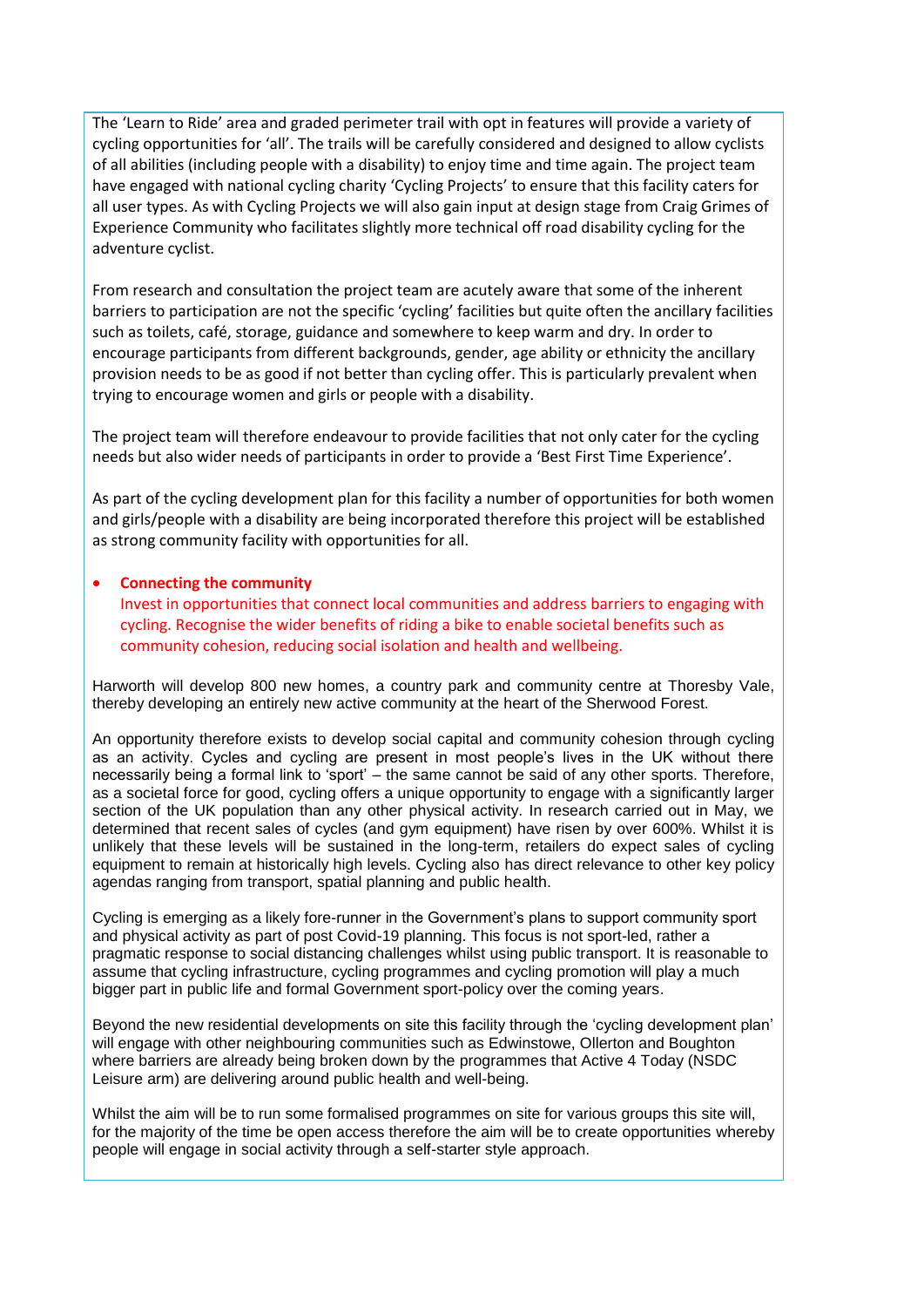The 'Learn to Ride' area and graded perimeter trail with opt in features will provide a variety of cycling opportunities for 'all'. The trails will be carefully considered and designed to allow cyclists of all abilities (including people with a disability) to enjoy time and time again. The project team have engaged with national cycling charity 'Cycling Projects' to ensure that this facility caters for all user types. As with Cycling Projects we will also gain input at design stage from Craig Grimes of Experience Community who facilitates slightly more technical off road disability cycling for the adventure cyclist.

From research and consultation the project team are acutely aware that some of the inherent barriers to participation are not the specific 'cycling' facilities but quite often the ancillary facilities such as toilets, café, storage, guidance and somewhere to keep warm and dry. In order to encourage participants from different backgrounds, gender, age ability or ethnicity the ancillary provision needs to be as good if not better than cycling offer. This is particularly prevalent when trying to encourage women and girls or people with a disability.

The project team will therefore endeavour to provide facilities that not only cater for the cycling needs but also wider needs of participants in order to provide a 'Best First Time Experience'.

As part of the cycling development plan for this facility a number of opportunities for both women and girls/people with a disability are being incorporated therefore this project will be established as strong community facility with opportunities for all.

#### **Connecting the community**

Invest in opportunities that connect local communities and address barriers to engaging with cycling. Recognise the wider benefits of riding a bike to enable societal benefits such as community cohesion, reducing social isolation and health and wellbeing.

Harworth will develop 800 new homes, a country park and community centre at Thoresby Vale, thereby developing an entirely new active community at the heart of the Sherwood Forest.

An opportunity therefore exists to develop social capital and community cohesion through cycling as an activity. Cycles and cycling are present in most people's lives in the UK without there necessarily being a formal link to 'sport' – the same cannot be said of any other sports. Therefore, as a societal force for good, cycling offers a unique opportunity to engage with a significantly larger section of the UK population than any other physical activity. In research carried out in May, we determined that recent sales of cycles (and gym equipment) have risen by over 600%. Whilst it is unlikely that these levels will be sustained in the long-term, retailers do expect sales of cycling equipment to remain at historically high levels. Cycling also has direct relevance to other key policy agendas ranging from transport, spatial planning and public health.

Cycling is emerging as a likely fore-runner in the Government's plans to support community sport and physical activity as part of post Covid-19 planning. This focus is not sport-led, rather a pragmatic response to social distancing challenges whilst using public transport. It is reasonable to assume that cycling infrastructure, cycling programmes and cycling promotion will play a much bigger part in public life and formal Government sport-policy over the coming years.

Beyond the new residential developments on site this facility through the 'cycling development plan' will engage with other neighbouring communities such as Edwinstowe, Ollerton and Boughton where barriers are already being broken down by the programmes that Active 4 Today (NSDC Leisure arm) are delivering around public health and well-being.

Whilst the aim will be to run some formalised programmes on site for various groups this site will, for the majority of the time be open access therefore the aim will be to create opportunities whereby people will engage in social activity through a self-starter style approach.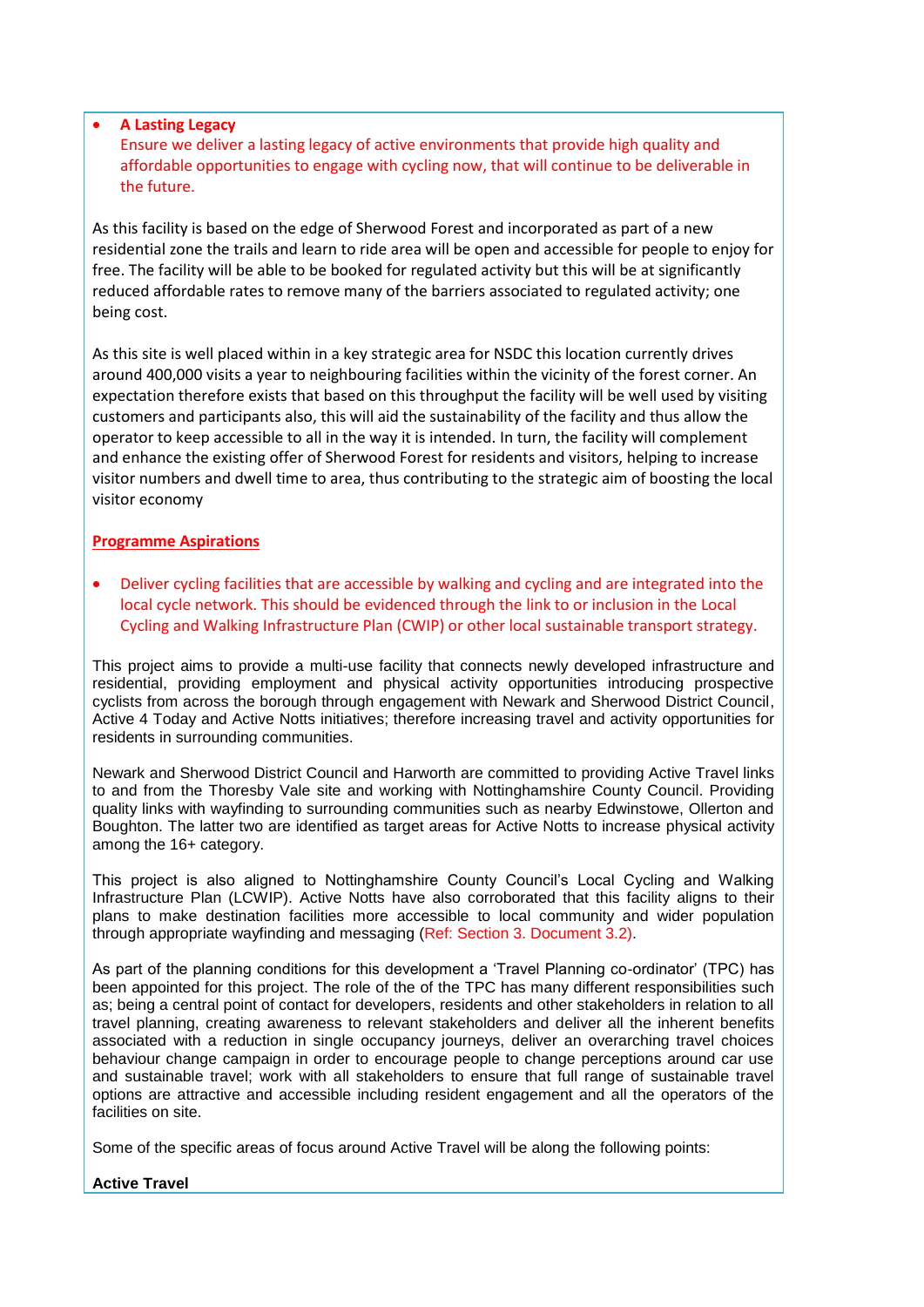#### **A Lasting Legacy**

Ensure we deliver a lasting legacy of active environments that provide high quality and affordable opportunities to engage with cycling now, that will continue to be deliverable in the future.

As this facility is based on the edge of Sherwood Forest and incorporated as part of a new residential zone the trails and learn to ride area will be open and accessible for people to enjoy for free. The facility will be able to be booked for regulated activity but this will be at significantly reduced affordable rates to remove many of the barriers associated to regulated activity; one being cost.

As this site is well placed within in a key strategic area for NSDC this location currently drives around 400,000 visits a year to neighbouring facilities within the vicinity of the forest corner. An expectation therefore exists that based on this throughput the facility will be well used by visiting customers and participants also, this will aid the sustainability of the facility and thus allow the operator to keep accessible to all in the way it is intended. In turn, the facility will complement and enhance the existing offer of Sherwood Forest for residents and visitors, helping to increase visitor numbers and dwell time to area, thus contributing to the strategic aim of boosting the local visitor economy

#### **Programme Aspirations**

 Deliver cycling facilities that are accessible by walking and cycling and are integrated into the local cycle network. This should be evidenced through the link to or inclusion in the Local Cycling and Walking Infrastructure Plan (CWIP) or other local sustainable transport strategy.

This project aims to provide a multi-use facility that connects newly developed infrastructure and residential, providing employment and physical activity opportunities introducing prospective cyclists from across the borough through engagement with Newark and Sherwood District Council, Active 4 Today and Active Notts initiatives; therefore increasing travel and activity opportunities for residents in surrounding communities.

Newark and Sherwood District Council and Harworth are committed to providing Active Travel links to and from the Thoresby Vale site and working with Nottinghamshire County Council. Providing quality links with wayfinding to surrounding communities such as nearby Edwinstowe, Ollerton and Boughton. The latter two are identified as target areas for Active Notts to increase physical activity among the 16+ category.

This project is also aligned to Nottinghamshire County Council's Local Cycling and Walking Infrastructure Plan (LCWIP). Active Notts have also corroborated that this facility aligns to their plans to make destination facilities more accessible to local community and wider population through appropriate wayfinding and messaging (Ref: Section 3. Document 3.2).

As part of the planning conditions for this development a 'Travel Planning co-ordinator' (TPC) has been appointed for this project. The role of the of the TPC has many different responsibilities such as; being a central point of contact for developers, residents and other stakeholders in relation to all travel planning, creating awareness to relevant stakeholders and deliver all the inherent benefits associated with a reduction in single occupancy journeys, deliver an overarching travel choices behaviour change campaign in order to encourage people to change perceptions around car use and sustainable travel; work with all stakeholders to ensure that full range of sustainable travel options are attractive and accessible including resident engagement and all the operators of the facilities on site.

Some of the specific areas of focus around Active Travel will be along the following points:

#### **Active Travel**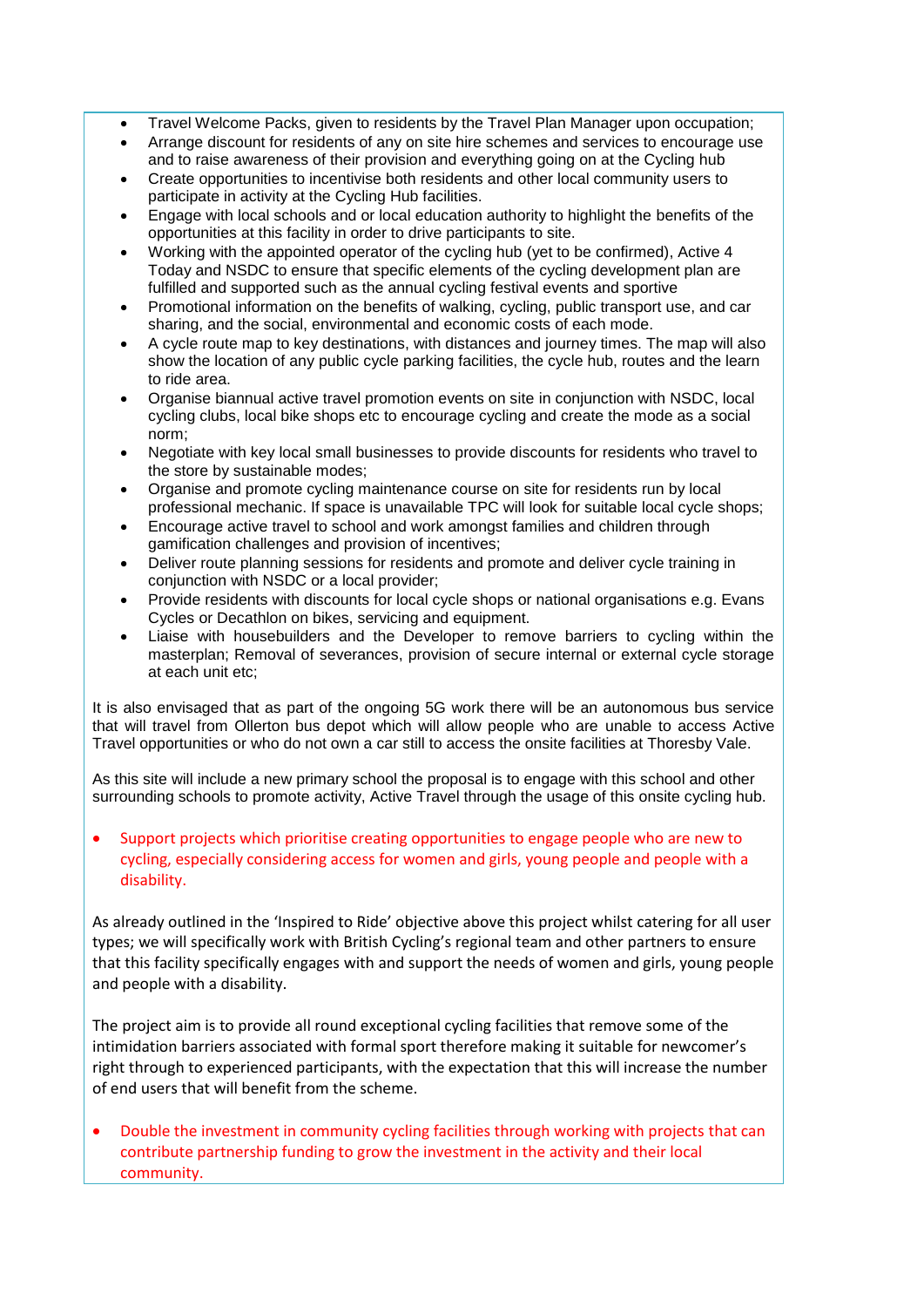- Travel Welcome Packs, given to residents by the Travel Plan Manager upon occupation;
- Arrange discount for residents of any on site hire schemes and services to encourage use and to raise awareness of their provision and everything going on at the Cycling hub
- Create opportunities to incentivise both residents and other local community users to participate in activity at the Cycling Hub facilities.
- Engage with local schools and or local education authority to highlight the benefits of the opportunities at this facility in order to drive participants to site.
- Working with the appointed operator of the cycling hub (yet to be confirmed), Active 4 Today and NSDC to ensure that specific elements of the cycling development plan are fulfilled and supported such as the annual cycling festival events and sportive
- Promotional information on the benefits of walking, cycling, public transport use, and car sharing, and the social, environmental and economic costs of each mode.
- A cycle route map to key destinations, with distances and journey times. The map will also show the location of any public cycle parking facilities, the cycle hub, routes and the learn to ride area.
- Organise biannual active travel promotion events on site in conjunction with NSDC, local cycling clubs, local bike shops etc to encourage cycling and create the mode as a social norm;
- Negotiate with key local small businesses to provide discounts for residents who travel to the store by sustainable modes;
- Organise and promote cycling maintenance course on site for residents run by local professional mechanic. If space is unavailable TPC will look for suitable local cycle shops;
- Encourage active travel to school and work amongst families and children through gamification challenges and provision of incentives;
- Deliver route planning sessions for residents and promote and deliver cycle training in conjunction with NSDC or a local provider;
- Provide residents with discounts for local cycle shops or national organisations e.g. Evans Cycles or Decathlon on bikes, servicing and equipment.
- Liaise with housebuilders and the Developer to remove barriers to cycling within the masterplan; Removal of severances, provision of secure internal or external cycle storage at each unit etc;

It is also envisaged that as part of the ongoing 5G work there will be an autonomous bus service that will travel from Ollerton bus depot which will allow people who are unable to access Active Travel opportunities or who do not own a car still to access the onsite facilities at Thoresby Vale.

As this site will include a new primary school the proposal is to engage with this school and other surrounding schools to promote activity, Active Travel through the usage of this onsite cycling hub.

 Support projects which prioritise creating opportunities to engage people who are new to cycling, especially considering access for women and girls, young people and people with a disability.

As already outlined in the 'Inspired to Ride' objective above this project whilst catering for all user types; we will specifically work with British Cycling's regional team and other partners to ensure that this facility specifically engages with and support the needs of women and girls, young people and people with a disability.

The project aim is to provide all round exceptional cycling facilities that remove some of the intimidation barriers associated with formal sport therefore making it suitable for newcomer's right through to experienced participants, with the expectation that this will increase the number of end users that will benefit from the scheme.

 Double the investment in community cycling facilities through working with projects that can contribute partnership funding to grow the investment in the activity and their local community.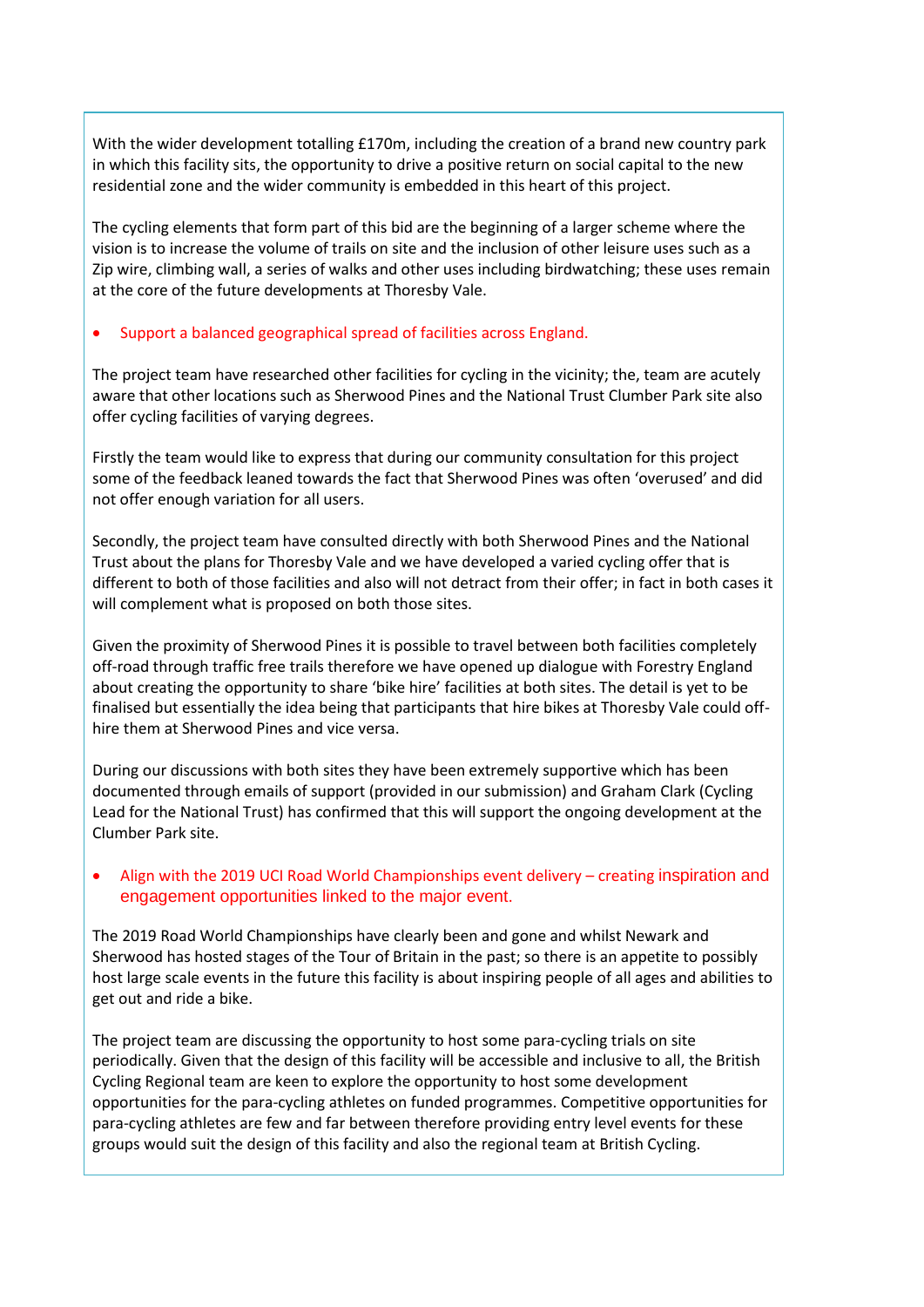With the wider development totalling £170m, including the creation of a brand new country park in which this facility sits, the opportunity to drive a positive return on social capital to the new residential zone and the wider community is embedded in this heart of this project.

The cycling elements that form part of this bid are the beginning of a larger scheme where the vision is to increase the volume of trails on site and the inclusion of other leisure uses such as a Zip wire, climbing wall, a series of walks and other uses including birdwatching; these uses remain at the core of the future developments at Thoresby Vale.

#### Support a balanced geographical spread of facilities across England.

The project team have researched other facilities for cycling in the vicinity; the, team are acutely aware that other locations such as Sherwood Pines and the National Trust Clumber Park site also offer cycling facilities of varying degrees.

Firstly the team would like to express that during our community consultation for this project some of the feedback leaned towards the fact that Sherwood Pines was often 'overused' and did not offer enough variation for all users.

Secondly, the project team have consulted directly with both Sherwood Pines and the National Trust about the plans for Thoresby Vale and we have developed a varied cycling offer that is different to both of those facilities and also will not detract from their offer; in fact in both cases it will complement what is proposed on both those sites.

Given the proximity of Sherwood Pines it is possible to travel between both facilities completely off-road through traffic free trails therefore we have opened up dialogue with Forestry England about creating the opportunity to share 'bike hire' facilities at both sites. The detail is yet to be finalised but essentially the idea being that participants that hire bikes at Thoresby Vale could offhire them at Sherwood Pines and vice versa.

During our discussions with both sites they have been extremely supportive which has been documented through emails of support (provided in our submission) and Graham Clark (Cycling Lead for the National Trust) has confirmed that this will support the ongoing development at the Clumber Park site.

# Align with the 2019 UCI Road World Championships event delivery – creating inspiration and engagement opportunities linked to the major event.

The 2019 Road World Championships have clearly been and gone and whilst Newark and Sherwood has hosted stages of the Tour of Britain in the past; so there is an appetite to possibly host large scale events in the future this facility is about inspiring people of all ages and abilities to get out and ride a bike.

The project team are discussing the opportunity to host some para-cycling trials on site periodically. Given that the design of this facility will be accessible and inclusive to all, the British Cycling Regional team are keen to explore the opportunity to host some development opportunities for the para-cycling athletes on funded programmes. Competitive opportunities for para-cycling athletes are few and far between therefore providing entry level events for these groups would suit the design of this facility and also the regional team at British Cycling.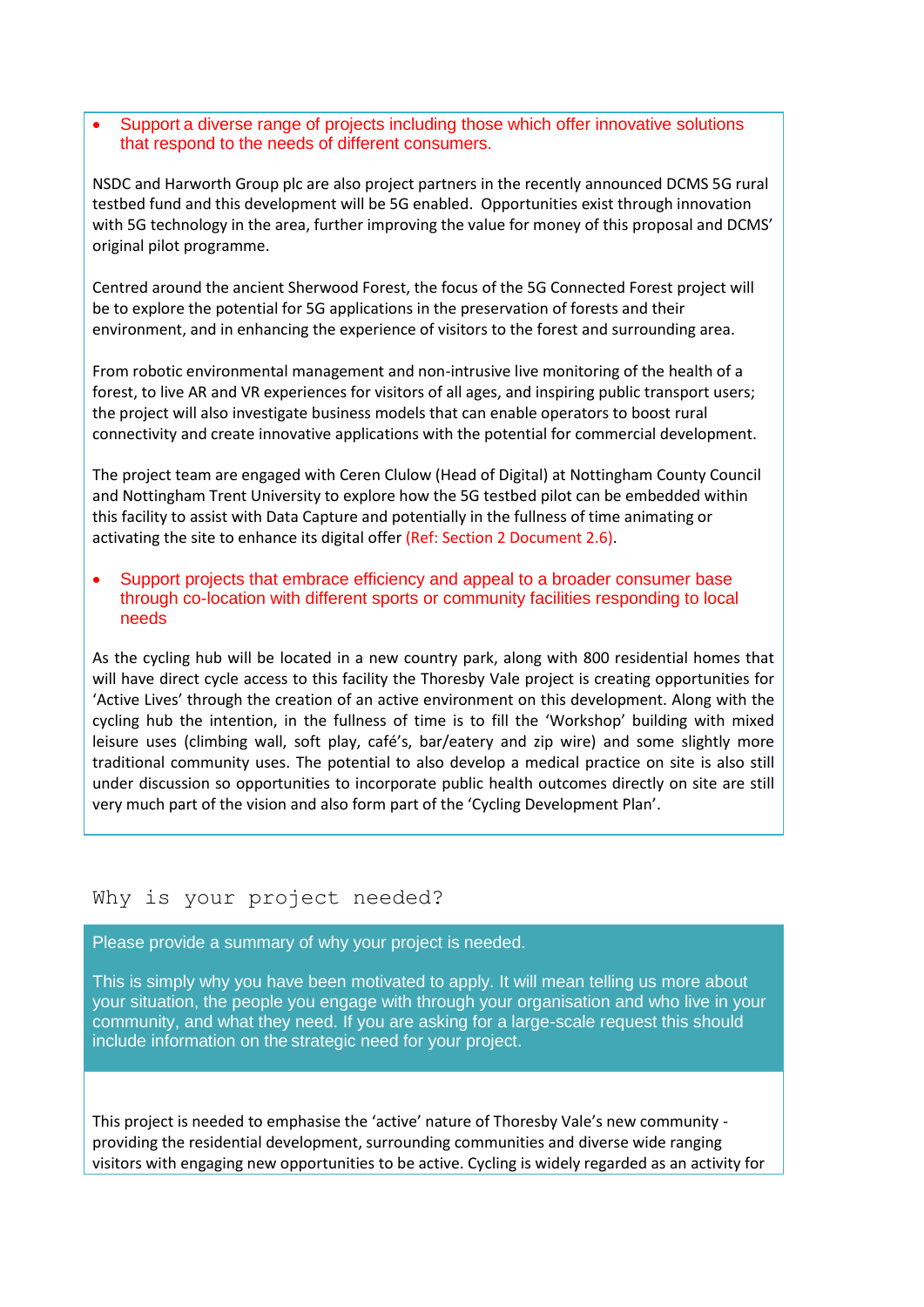Support a diverse range of projects including those which offer innovative solutions that respond to the needs of different consumers.

NSDC and Harworth Group plc are also project partners in the recently announced DCMS 5G rural testbed fund and this development will be 5G enabled. Opportunities exist through innovation with 5G technology in the area, further improving the value for money of this proposal and DCMS' original pilot programme.

Centred around the ancient Sherwood Forest, the focus of the 5G Connected Forest project will be to explore the potential for 5G applications in the preservation of forests and their environment, and in enhancing the experience of visitors to the forest and surrounding area.

From robotic environmental management and non-intrusive live monitoring of the health of a forest, to live AR and VR experiences for visitors of all ages, and inspiring public transport users; the project will also investigate business models that can enable operators to boost rural connectivity and create innovative applications with the potential for commercial development.

The project team are engaged with Ceren Clulow (Head of Digital) at Nottingham County Council and Nottingham Trent University to explore how the 5G testbed pilot can be embedded within this facility to assist with Data Capture and potentially in the fullness of time animating or activating the site to enhance its digital offer (Ref: Section 2 Document 2.6).

 Support projects that embrace efficiency and appeal to a broader consumer base through co-location with different sports or community facilities responding to local needs

As the cycling hub will be located in a new country park, along with 800 residential homes that will have direct cycle access to this facility the Thoresby Vale project is creating opportunities for 'Active Lives' through the creation of an active environment on this development. Along with the cycling hub the intention, in the fullness of time is to fill the 'Workshop' building with mixed leisure uses (climbing wall, soft play, café's, bar/eatery and zip wire) and some slightly more traditional community uses. The potential to also develop a medical practice on site is also still under discussion so opportunities to incorporate public health outcomes directly on site are still very much part of the vision and also form part of the 'Cycling Development Plan'.

# Why is your project needed?

Please provide a summary of why your project is needed.

This is simply why you have been motivated to apply. It will mean telling us more about your situation, the people you engage with through your organisation and who live in your community, and what they need. If you are asking for a large-scale request this should include information on the strategic need for your project.  

This project is needed to emphasise the 'active' nature of Thoresby Vale's new community providing the residential development, surrounding communities and diverse wide ranging visitors with engaging new opportunities to be active. Cycling is widely regarded as an activity for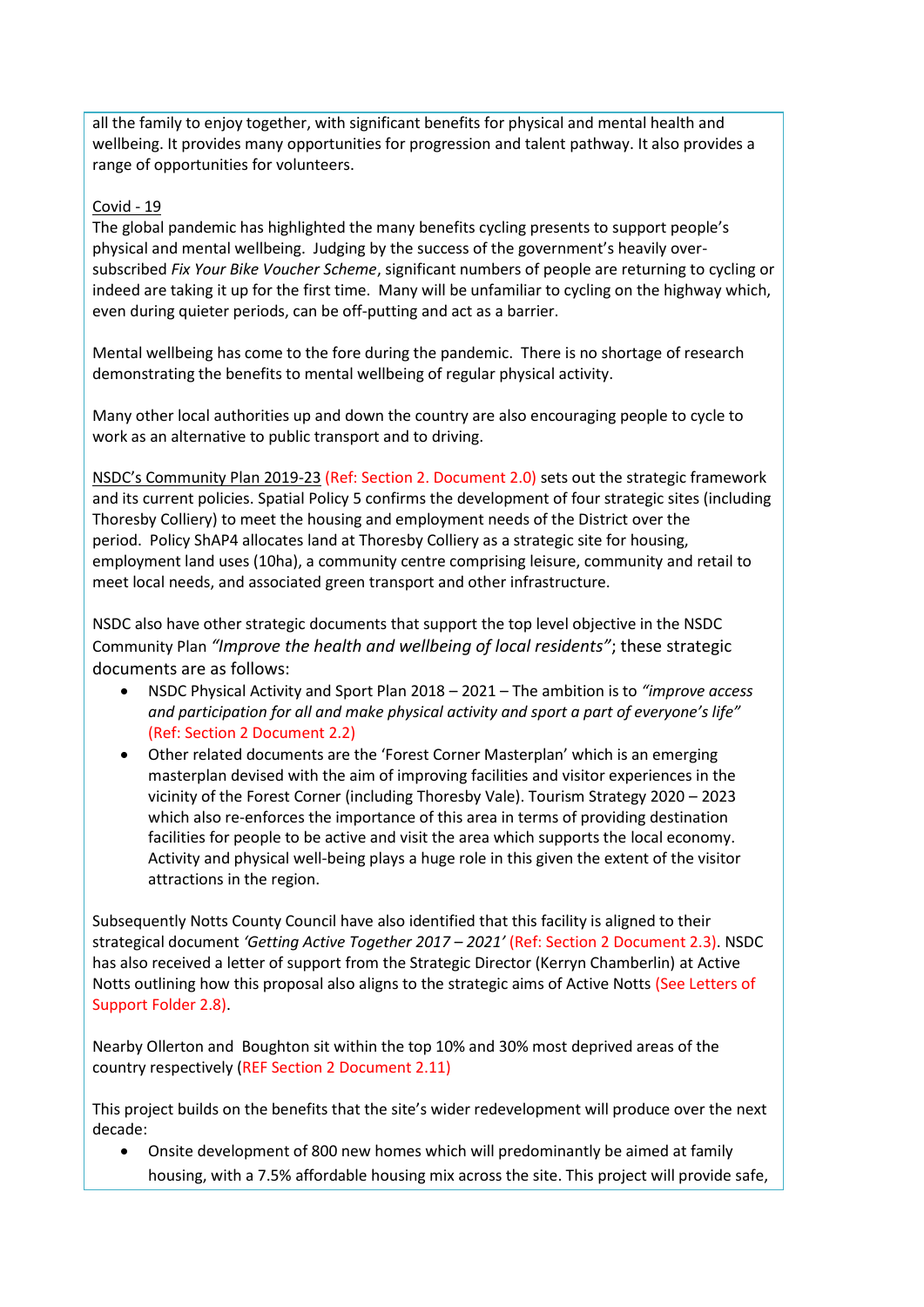all the family to enjoy together, with significant benefits for physical and mental health and wellbeing. It provides many opportunities for progression and talent pathway. It also provides a range of opportunities for volunteers.

# Covid - 19

The global pandemic has highlighted the many benefits cycling presents to support people's physical and mental wellbeing. Judging by the success of the government's heavily oversubscribed *Fix Your Bike Voucher Scheme*, significant numbers of people are returning to cycling or indeed are taking it up for the first time. Many will be unfamiliar to cycling on the highway which, even during quieter periods, can be off-putting and act as a barrier.

Mental wellbeing has come to the fore during the pandemic. There is no shortage of research demonstrating the benefits to mental wellbeing of regular physical activity.

Many other local authorities up and down the country are also encouraging people to cycle to work as an alternative to public transport and to driving.

[NSDC's Community Plan 2019](https://www.newark-sherwooddc.gov.uk/media/newarkandsherwood/imagesandfiles/strategiesandpolicies/pdfs/20190308CommunityPlan2019to23.pdf)-23 (Ref: Section 2. Document 2.0) sets out the strategic framework and its current policies. Spatial Policy 5 confirms the development of four strategic sites (including Thoresby Colliery) to meet the housing and employment needs of the District over the period. Policy ShAP4 allocates land at Thoresby Colliery as a strategic site for housing, employment land uses (10ha), a community centre comprising leisure, community and retail to meet local needs, and associated green transport and other infrastructure.

NSDC also have other strategic documents that support the top level objective in the NSDC Community Plan *"Improve the health and wellbeing of local residents"*; these strategic documents are as follows:

- NSDC Physical Activity and Sport Plan 2018 2021 The ambition is to *"improve access and participation for all and make physical activity and sport a part of everyone's life"* (Ref: Section 2 Document 2.2)
- Other related documents are the 'Forest Corner Masterplan' which is an emerging masterplan devised with the aim of improving facilities and visitor experiences in the vicinity of the Forest Corner (including Thoresby Vale). Tourism Strategy 2020 – 2023 which also re-enforces the importance of this area in terms of providing destination facilities for people to be active and visit the area which supports the local economy. Activity and physical well-being plays a huge role in this given the extent of the visitor attractions in the region.

Subsequently Notts County Council have also identified that this facility is aligned to their strategical document *'Getting Active Together 2017 – 2021'* (Ref: Section 2 Document 2.3). NSDC has also received a letter of support from the Strategic Director (Kerryn Chamberlin) at Active Notts outlining how this proposal also aligns to the strategic aims of Active Notts (See Letters of Support Folder 2.8).

Nearby Ollerton and Boughton sit within the top 10% and 30% most deprived areas of the country respectively (REF Section 2 Document 2.11)

This project builds on the benefits that the site's wider redevelopment will produce over the next decade:

 Onsite development of 800 new homes which will predominantly be aimed at family housing, with a 7.5% affordable housing mix across the site. This project will provide safe,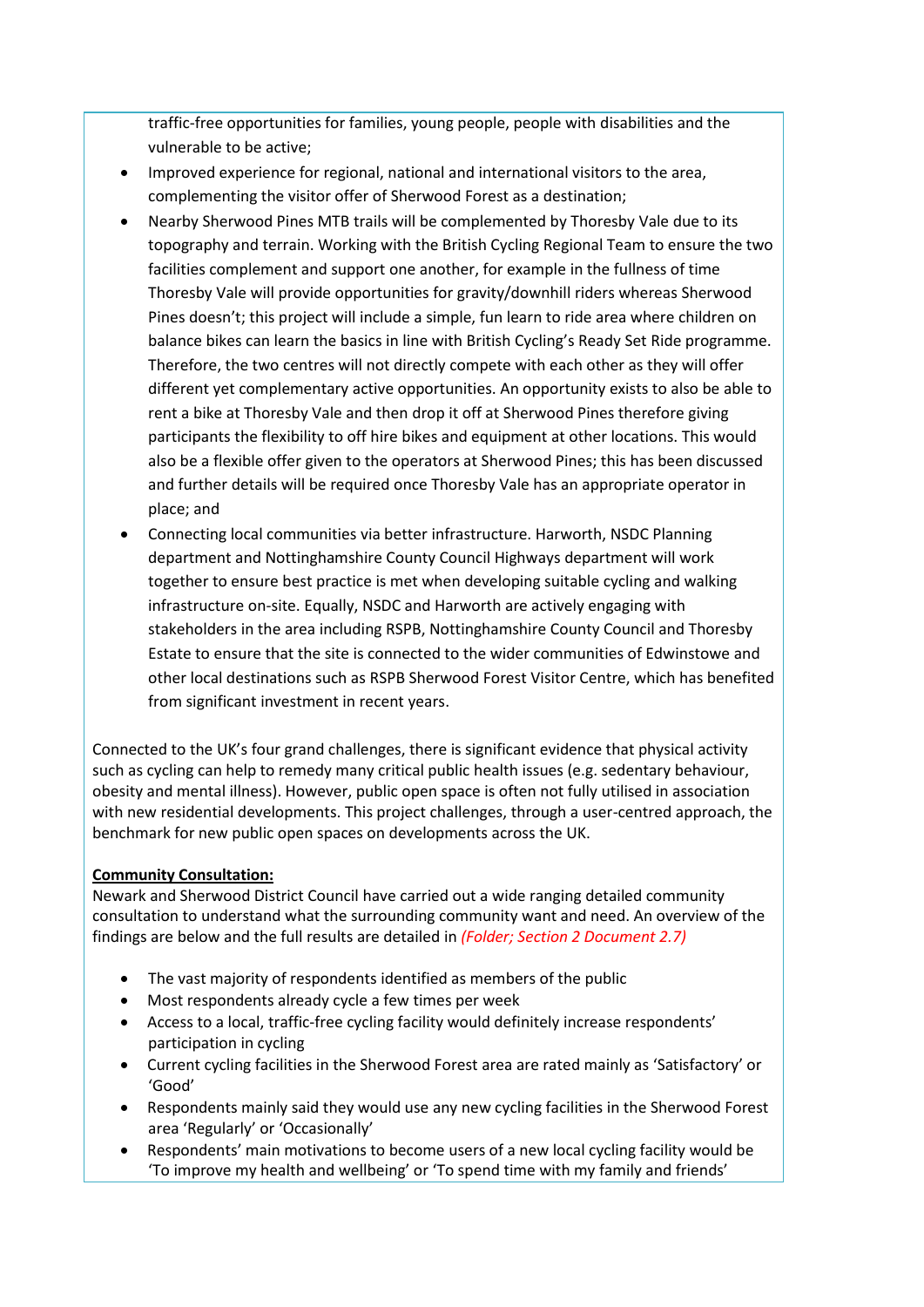traffic-free opportunities for families, young people, people with disabilities and the vulnerable to be active;

- Improved experience for regional, national and international visitors to the area, complementing the visitor offer of Sherwood Forest as a destination;
- Nearby Sherwood Pines MTB trails will be complemented by Thoresby Vale due to its topography and terrain. Working with the British Cycling Regional Team to ensure the two facilities complement and support one another, for example in the fullness of time Thoresby Vale will provide opportunities for gravity/downhill riders whereas Sherwood Pines doesn't; this project will include a simple, fun learn to ride area where children on balance bikes can learn the basics in line with British Cycling's Ready Set Ride programme. Therefore, the two centres will not directly compete with each other as they will offer different yet complementary active opportunities. An opportunity exists to also be able to rent a bike at Thoresby Vale and then drop it off at Sherwood Pines therefore giving participants the flexibility to off hire bikes and equipment at other locations. This would also be a flexible offer given to the operators at Sherwood Pines; this has been discussed and further details will be required once Thoresby Vale has an appropriate operator in place; and
- Connecting local communities via better infrastructure. Harworth, NSDC Planning department and Nottinghamshire County Council Highways department will work together to ensure best practice is met when developing suitable cycling and walking infrastructure on-site. Equally, NSDC and Harworth are actively engaging with stakeholders in the area including RSPB, Nottinghamshire County Council and Thoresby Estate to ensure that the site is connected to the wider communities of Edwinstowe and other local destinations such as RSPB Sherwood Forest Visitor Centre, which has benefited from significant investment in recent years.

Connected to the UK's four grand challenges, there is significant evidence that physical activity such as cycling can help to remedy many critical public health issues (e.g. sedentary behaviour, obesity and mental illness). However, public open space is often not fully utilised in association with new residential developments. This project challenges, through a user-centred approach, the benchmark for new public open spaces on developments across the UK.

# **Community Consultation:**

Newark and Sherwood District Council have carried out a wide ranging detailed community consultation to understand what the surrounding community want and need. An overview of the findings are below and the full results are detailed in *(Folder; Section 2 Document 2.7)*

- The vast majority of respondents identified as members of the public
- Most respondents already cycle a few times per week
- Access to a local, traffic-free cycling facility would definitely increase respondents' participation in cycling
- Current cycling facilities in the Sherwood Forest area are rated mainly as 'Satisfactory' or 'Good'
- Respondents mainly said they would use any new cycling facilities in the Sherwood Forest area 'Regularly' or 'Occasionally'
- Respondents' main motivations to become users of a new local cycling facility would be 'To improve my health and wellbeing' or 'To spend time with my family and friends'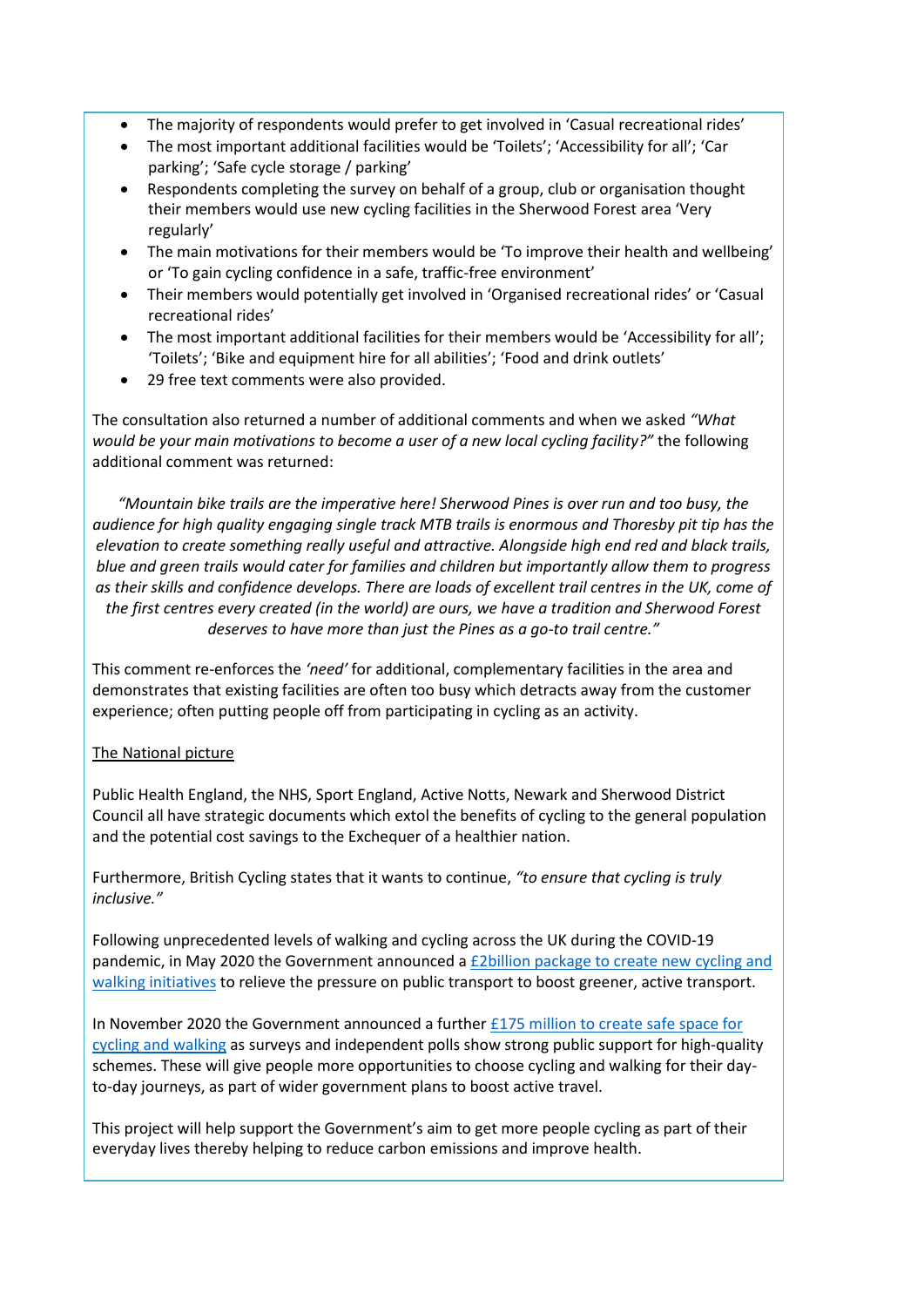- The majority of respondents would prefer to get involved in 'Casual recreational rides'
- The most important additional facilities would be 'Toilets'; 'Accessibility for all'; 'Car parking'; 'Safe cycle storage / parking'
- Respondents completing the survey on behalf of a group, club or organisation thought their members would use new cycling facilities in the Sherwood Forest area 'Very regularly'
- The main motivations for their members would be 'To improve their health and wellbeing' or 'To gain cycling confidence in a safe, traffic-free environment'
- Their members would potentially get involved in 'Organised recreational rides' or 'Casual recreational rides'
- The most important additional facilities for their members would be 'Accessibility for all'; 'Toilets'; 'Bike and equipment hire for all abilities'; 'Food and drink outlets'
- 29 free text comments were also provided.

The consultation also returned a number of additional comments and when we asked *"What would be your main motivations to become a user of a new local cycling facility?"* the following additional comment was returned:

*"Mountain bike trails are the imperative here! Sherwood Pines is over run and too busy, the audience for high quality engaging single track MTB trails is enormous and Thoresby pit tip has the elevation to create something really useful and attractive. Alongside high end red and black trails, blue and green trails would cater for families and children but importantly allow them to progress as their skills and confidence develops. There are loads of excellent trail centres in the UK, come of the first centres every created (in the world) are ours, we have a tradition and Sherwood Forest deserves to have more than just the Pines as a go-to trail centre."*

This comment re-enforces the *'need'* for additional, complementary facilities in the area and demonstrates that existing facilities are often too busy which detracts away from the customer experience; often putting people off from participating in cycling as an activity.

# The National picture

Public Health England, the NHS, Sport England, Active Notts, Newark and Sherwood District Council all have strategic documents which extol the benefits of cycling to the general population and the potential cost savings to the Exchequer of a healthier nation.

Furthermore, British Cycling states that it wants to continue, *"to ensure that cycling is truly inclusive."*

Following unprecedented levels of walking and cycling across the UK during the COVID-19 pandemic, in May 2020 the Government announced a [£2billion package to create new cycling and](https://www.gov.uk/government/news/2-billion-package-to-create-new-era-for-cycling-and-walking)  [walking initiatives](https://www.gov.uk/government/news/2-billion-package-to-create-new-era-for-cycling-and-walking) to relieve the pressure on public transport to boost greener, active transport.

In November 2020 the Government announced a further £175 million to create safe space for [cycling and walking](https://www.gov.uk/government/news/175-million-more-for-cycling-and-walking-as-research-shows-public-support) as surveys and independent polls show strong public support for high-quality schemes. These will give people more opportunities to choose cycling and walking for their dayto-day journeys, as part of wider government plans to boost active travel.

This project will help support the Government's aim to get more people cycling as part of their everyday lives thereby helping to reduce carbon emissions and improve health.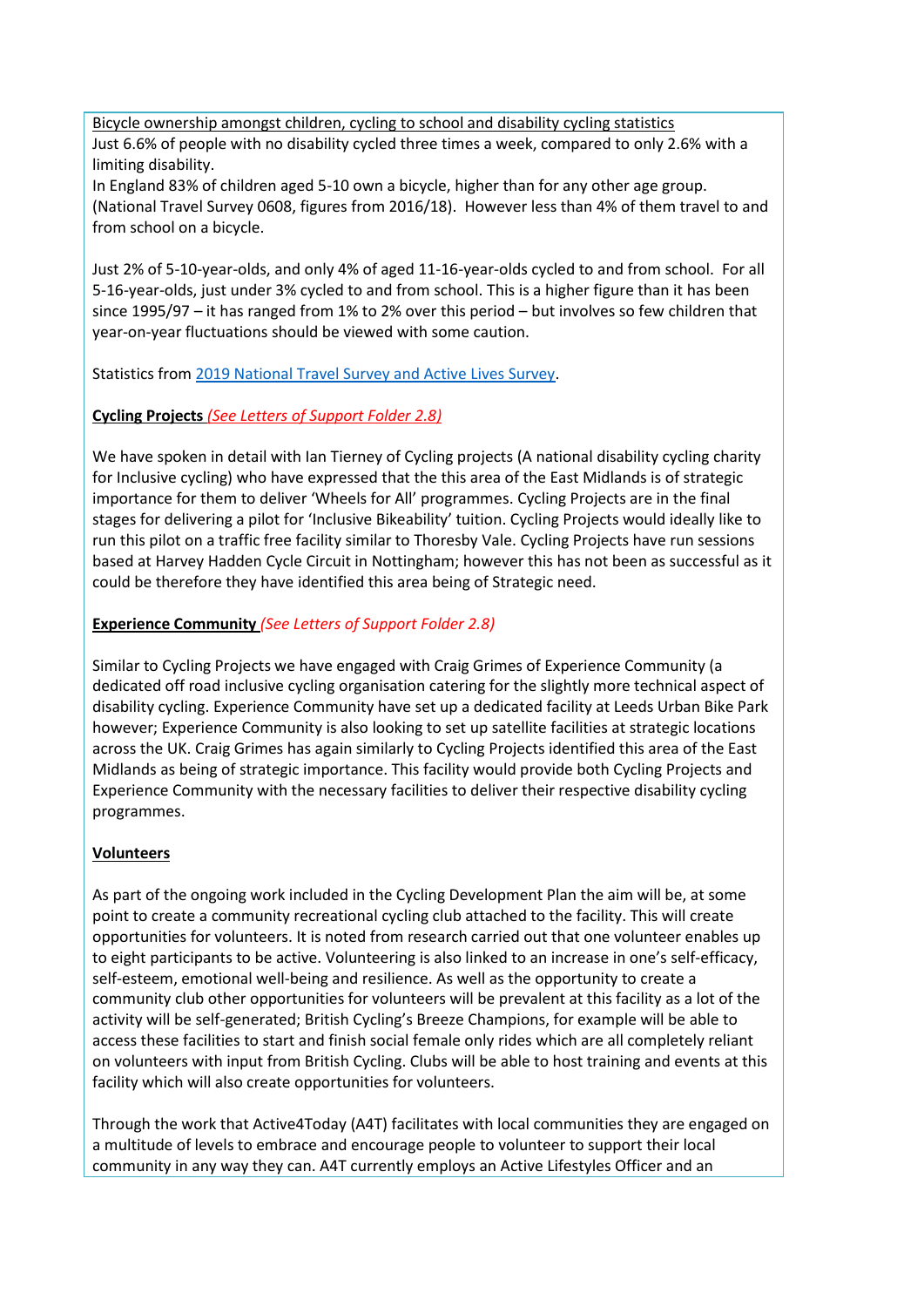Bicycle ownership amongst children, cycling to school and disability cycling statistics Just 6.6% of people with no disability cycled three times a week, compared to only 2.6% with a limiting disability.

In England 83% of children aged 5-10 own a bicycle, higher than for any other age group. (National Travel Survey 0608, figures from 2016/18). However less than 4% of them travel to and from school on a bicycle.

Just 2% of 5-10-year-olds, and only 4% of aged 11-16-year-olds cycled to and from school. For all 5-16-year-olds, just under 3% cycled to and from school. This is a higher figure than it has been since 1995/97 – it has ranged from 1% to 2% over this period – but involves so few children that year-on-year fluctuations should be viewed with some caution.

Statistics from [2019 National Travel Survey and Active Lives Survey.](https://www.gov.uk/government/collections/walking-and-cycling-statistics)

# **Cycling Projects** *(See Letters of Support Folder 2.8)*

We have spoken in detail with Ian Tierney of Cycling projects (A national disability cycling charity for Inclusive cycling) who have expressed that the this area of the East Midlands is of strategic importance for them to deliver 'Wheels for All' programmes. Cycling Projects are in the final stages for delivering a pilot for 'Inclusive Bikeability' tuition. Cycling Projects would ideally like to run this pilot on a traffic free facility similar to Thoresby Vale. Cycling Projects have run sessions based at Harvey Hadden Cycle Circuit in Nottingham; however this has not been as successful as it could be therefore they have identified this area being of Strategic need.

#### **Experience Community** *(See Letters of Support Folder 2.8)*

Similar to Cycling Projects we have engaged with Craig Grimes of Experience Community (a dedicated off road inclusive cycling organisation catering for the slightly more technical aspect of disability cycling. Experience Community have set up a dedicated facility at Leeds Urban Bike Park however; Experience Community is also looking to set up satellite facilities at strategic locations across the UK. Craig Grimes has again similarly to Cycling Projects identified this area of the East Midlands as being of strategic importance. This facility would provide both Cycling Projects and Experience Community with the necessary facilities to deliver their respective disability cycling programmes.

# **Volunteers**

As part of the ongoing work included in the Cycling Development Plan the aim will be, at some point to create a community recreational cycling club attached to the facility. This will create opportunities for volunteers. It is noted from research carried out that one volunteer enables up to eight participants to be active. Volunteering is also linked to an increase in one's self-efficacy, self-esteem, emotional well-being and resilience. As well as the opportunity to create a community club other opportunities for volunteers will be prevalent at this facility as a lot of the activity will be self-generated; British Cycling's Breeze Champions, for example will be able to access these facilities to start and finish social female only rides which are all completely reliant on volunteers with input from British Cycling. Clubs will be able to host training and events at this facility which will also create opportunities for volunteers.

Through the work that Active4Today (A4T) facilitates with local communities they are engaged on a multitude of levels to embrace and encourage people to volunteer to support their local community in any way they can. A4T currently employs an Active Lifestyles Officer and an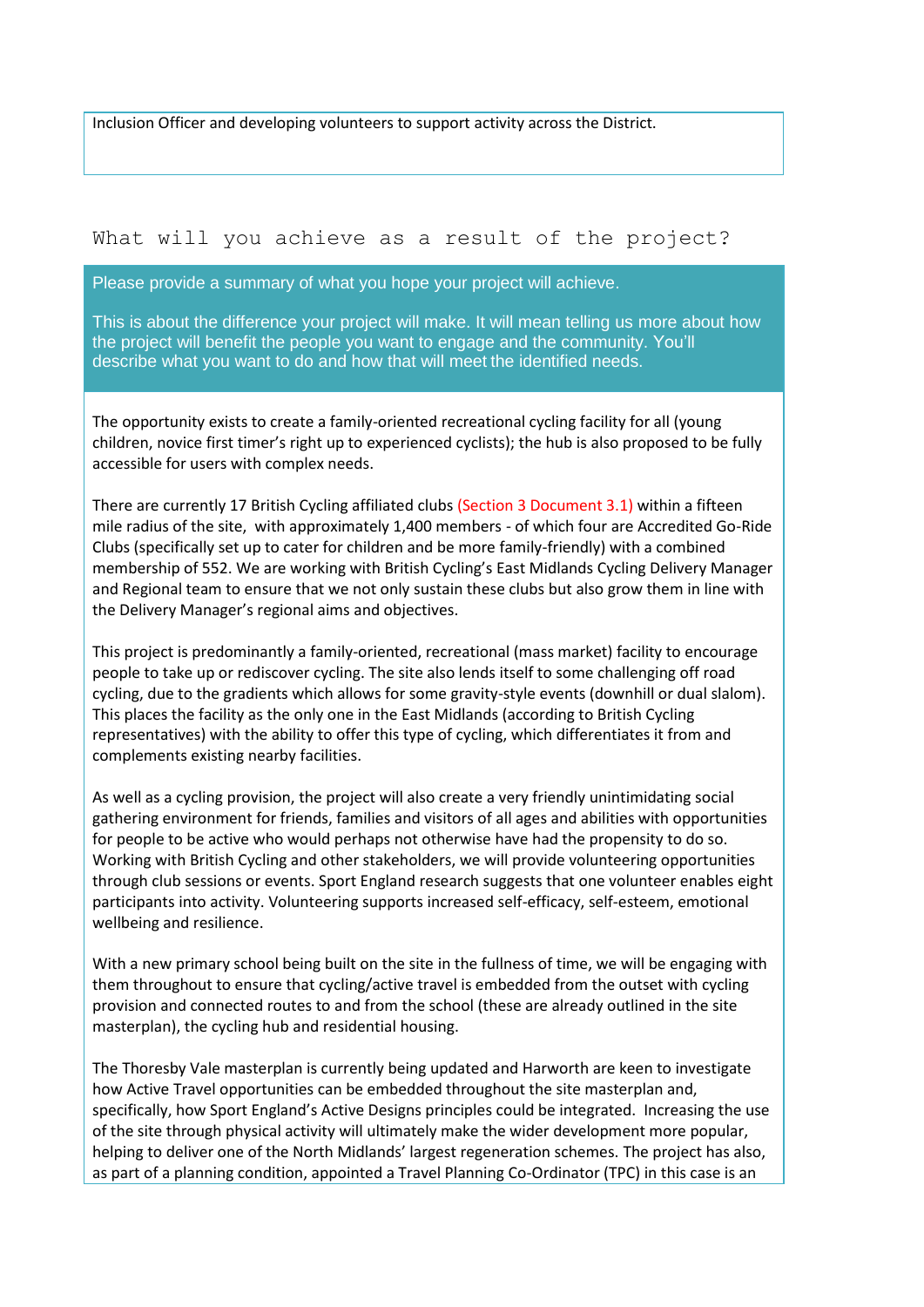Inclusion Officer and developing volunteers to support activity across the District.

# What will you achieve as a result of the project?

Please provide a summary of what you hope your project will achieve.

This is about the difference your project will make. It will mean telling us more about how the project will benefit the people you want to engage and the community. You'll describe what you want to do and how that will meet the identified needs.

The opportunity exists to create a family-oriented recreational cycling facility for all (young children, novice first timer's right up to experienced cyclists); the hub is also proposed to be fully accessible for users with complex needs.

There are currently 17 British Cycling affiliated clubs (Section 3 Document 3.1) within a fifteen mile radius of the site, with approximately 1,400 members - of which four are Accredited Go-Ride Clubs (specifically set up to cater for children and be more family-friendly) with a combined membership of 552. We are working with British Cycling's East Midlands Cycling Delivery Manager and Regional team to ensure that we not only sustain these clubs but also grow them in line with the Delivery Manager's regional aims and objectives.

This project is predominantly a family-oriented, recreational (mass market) facility to encourage people to take up or rediscover cycling. The site also lends itself to some challenging off road cycling, due to the gradients which allows for some gravity-style events (downhill or dual slalom). This places the facility as the only one in the East Midlands (according to British Cycling representatives) with the ability to offer this type of cycling, which differentiates it from and complements existing nearby facilities.

As well as a cycling provision, the project will also create a very friendly unintimidating social gathering environment for friends, families and visitors of all ages and abilities with opportunities for people to be active who would perhaps not otherwise have had the propensity to do so. Working with British Cycling and other stakeholders, we will provide volunteering opportunities through club sessions or events. Sport England research suggests that one volunteer enables eight participants into activity. Volunteering supports increased self-efficacy, self-esteem, emotional wellbeing and resilience.

With a new primary school being built on the site in the fullness of time, we will be engaging with them throughout to ensure that cycling/active travel is embedded from the outset with cycling provision and connected routes to and from the school (these are already outlined in the site masterplan), the cycling hub and residential housing.

The Thoresby Vale masterplan is currently being updated and Harworth are keen to investigate how Active Travel opportunities can be embedded throughout the site masterplan and, specifically, how Sport England's Active Designs principles could be integrated. Increasing the use of the site through physical activity will ultimately make the wider development more popular, helping to deliver one of the North Midlands' largest regeneration schemes. The project has also, as part of a planning condition, appointed a Travel Planning Co-Ordinator (TPC) in this case is an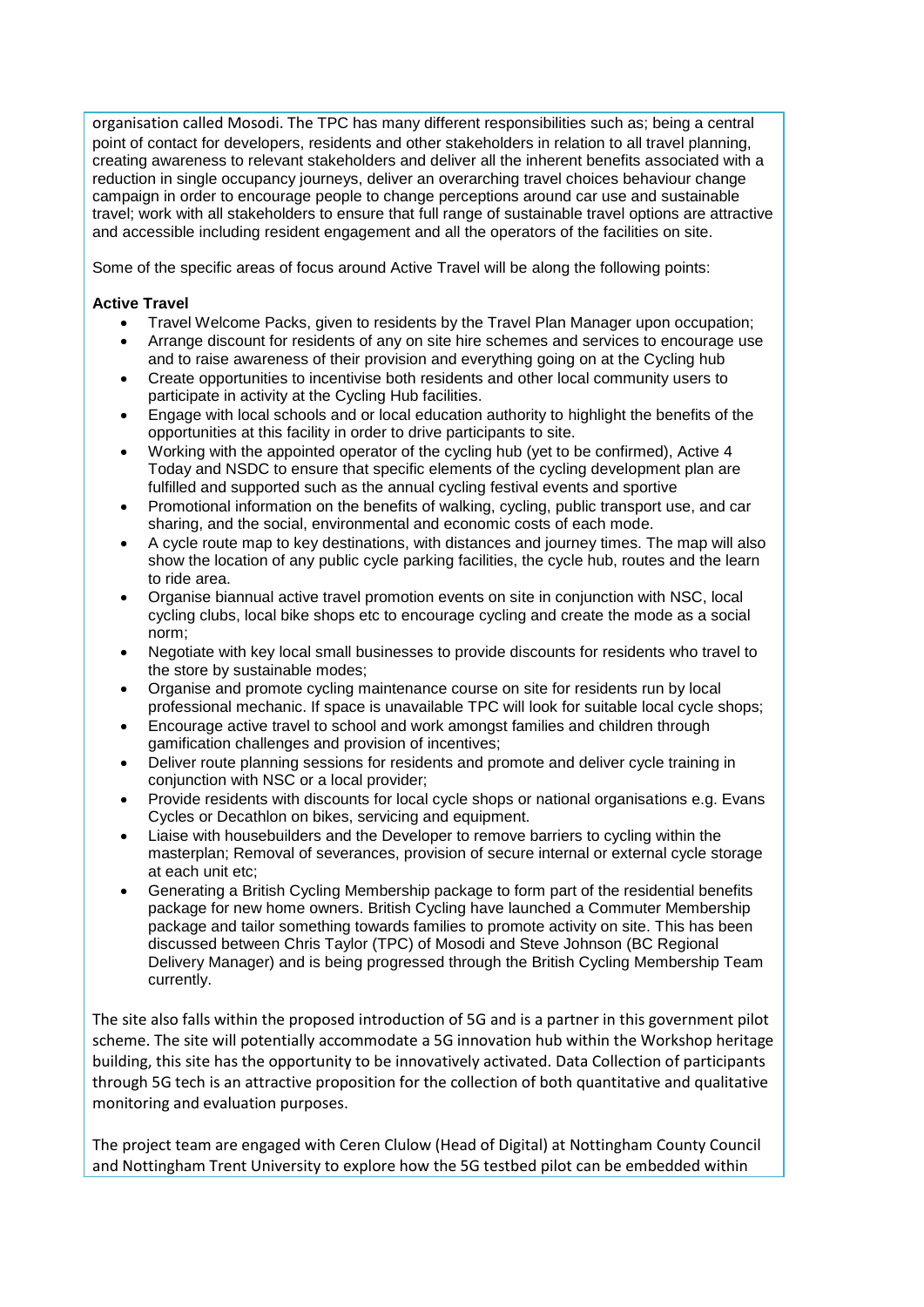organisation called Mosodi. The TPC has many different responsibilities such as; being a central point of contact for developers, residents and other stakeholders in relation to all travel planning, creating awareness to relevant stakeholders and deliver all the inherent benefits associated with a reduction in single occupancy journeys, deliver an overarching travel choices behaviour change campaign in order to encourage people to change perceptions around car use and sustainable travel; work with all stakeholders to ensure that full range of sustainable travel options are attractive and accessible including resident engagement and all the operators of the facilities on site.

Some of the specific areas of focus around Active Travel will be along the following points:

#### **Active Travel**

- Travel Welcome Packs, given to residents by the Travel Plan Manager upon occupation;
- Arrange discount for residents of any on site hire schemes and services to encourage use and to raise awareness of their provision and everything going on at the Cycling hub
- Create opportunities to incentivise both residents and other local community users to participate in activity at the Cycling Hub facilities.
- Engage with local schools and or local education authority to highlight the benefits of the opportunities at this facility in order to drive participants to site.
- Working with the appointed operator of the cycling hub (yet to be confirmed), Active 4 Today and NSDC to ensure that specific elements of the cycling development plan are fulfilled and supported such as the annual cycling festival events and sportive
- Promotional information on the benefits of walking, cycling, public transport use, and car sharing, and the social, environmental and economic costs of each mode.
- A cycle route map to key destinations, with distances and journey times. The map will also show the location of any public cycle parking facilities, the cycle hub, routes and the learn to ride area.
- Organise biannual active travel promotion events on site in conjunction with NSC, local cycling clubs, local bike shops etc to encourage cycling and create the mode as a social norm;
- Negotiate with key local small businesses to provide discounts for residents who travel to the store by sustainable modes;
- Organise and promote cycling maintenance course on site for residents run by local professional mechanic. If space is unavailable TPC will look for suitable local cycle shops;
- Encourage active travel to school and work amongst families and children through gamification challenges and provision of incentives;
- Deliver route planning sessions for residents and promote and deliver cycle training in conjunction with NSC or a local provider;
- Provide residents with discounts for local cycle shops or national organisations e.g. Evans Cycles or Decathlon on bikes, servicing and equipment.
- Liaise with housebuilders and the Developer to remove barriers to cycling within the masterplan; Removal of severances, provision of secure internal or external cycle storage at each unit etc;
- Generating a British Cycling Membership package to form part of the residential benefits package for new home owners. British Cycling have launched a Commuter Membership package and tailor something towards families to promote activity on site. This has been discussed between Chris Taylor (TPC) of Mosodi and Steve Johnson (BC Regional Delivery Manager) and is being progressed through the British Cycling Membership Team currently.

The site also falls within the proposed introduction of 5G and is a partner in this government pilot scheme. The site will potentially accommodate a 5G innovation hub within the Workshop heritage building, this site has the opportunity to be innovatively activated. Data Collection of participants through 5G tech is an attractive proposition for the collection of both quantitative and qualitative monitoring and evaluation purposes.

The project team are engaged with Ceren Clulow (Head of Digital) at Nottingham County Council and Nottingham Trent University to explore how the 5G testbed pilot can be embedded within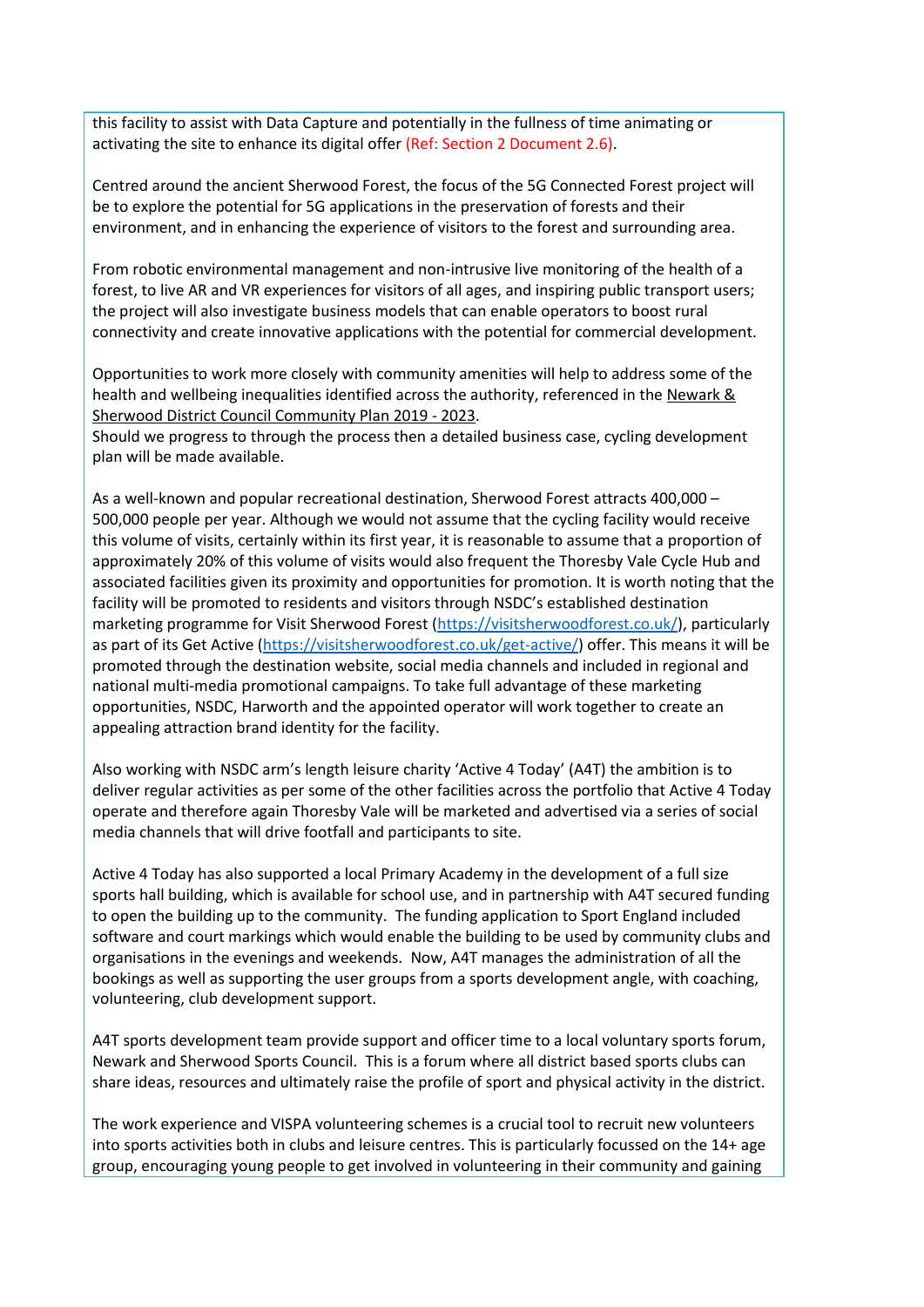this facility to assist with Data Capture and potentially in the fullness of time animating or activating the site to enhance its digital offer (Ref: Section 2 Document 2.6).

Centred around the ancient Sherwood Forest, the focus of the 5G Connected Forest project will be to explore the potential for 5G applications in the preservation of forests and their environment, and in enhancing the experience of visitors to the forest and surrounding area.

From robotic environmental management and non-intrusive live monitoring of the health of a forest, to live AR and VR experiences for visitors of all ages, and inspiring public transport users; the project will also investigate business models that can enable operators to boost rural connectivity and create innovative applications with the potential for commercial development.

Opportunities to work more closely with community amenities will help to address some of the health and wellbeing inequalities identified across the authority, referenced in the Newark & [Sherwood District Council Community Plan 2019 -](https://www.newark-sherwooddc.gov.uk/media/newarkandsherwood/imagesandfiles/strategiesandpolicies/pdfs/20190308CommunityPlan2019to23.pdf) 2023.

Should we progress to through the process then a detailed business case, cycling development plan will be made available.

As a well-known and popular recreational destination, Sherwood Forest attracts 400,000 – 500,000 people per year. Although we would not assume that the cycling facility would receive this volume of visits, certainly within its first year, it is reasonable to assume that a proportion of approximately 20% of this volume of visits would also frequent the Thoresby Vale Cycle Hub and associated facilities given its proximity and opportunities for promotion. It is worth noting that the facility will be promoted to residents and visitors through NSDC's established destination marketing programme for Visit Sherwood Forest [\(https://visitsherwoodforest.co.uk/\)](https://visitsherwoodforest.co.uk/), particularly as part of its Get Active [\(https://visitsherwoodforest.co.uk/get-active/\)](https://visitsherwoodforest.co.uk/get-active/) offer. This means it will be promoted through the destination website, social media channels and included in regional and national multi-media promotional campaigns. To take full advantage of these marketing opportunities, NSDC, Harworth and the appointed operator will work together to create an appealing attraction brand identity for the facility.

Also working with NSDC arm's length leisure charity 'Active 4 Today' (A4T) the ambition is to deliver regular activities as per some of the other facilities across the portfolio that Active 4 Today operate and therefore again Thoresby Vale will be marketed and advertised via a series of social media channels that will drive footfall and participants to site.

Active 4 Today has also supported a local Primary Academy in the development of a full size sports hall building, which is available for school use, and in partnership with A4T secured funding to open the building up to the community. The funding application to Sport England included software and court markings which would enable the building to be used by community clubs and organisations in the evenings and weekends. Now, A4T manages the administration of all the bookings as well as supporting the user groups from a sports development angle, with coaching, volunteering, club development support.

A4T sports development team provide support and officer time to a local voluntary sports forum, Newark and Sherwood Sports Council. This is a forum where all district based sports clubs can share ideas, resources and ultimately raise the profile of sport and physical activity in the district.

The work experience and VISPA volunteering schemes is a crucial tool to recruit new volunteers into sports activities both in clubs and leisure centres. This is particularly focussed on the 14+ age group, encouraging young people to get involved in volunteering in their community and gaining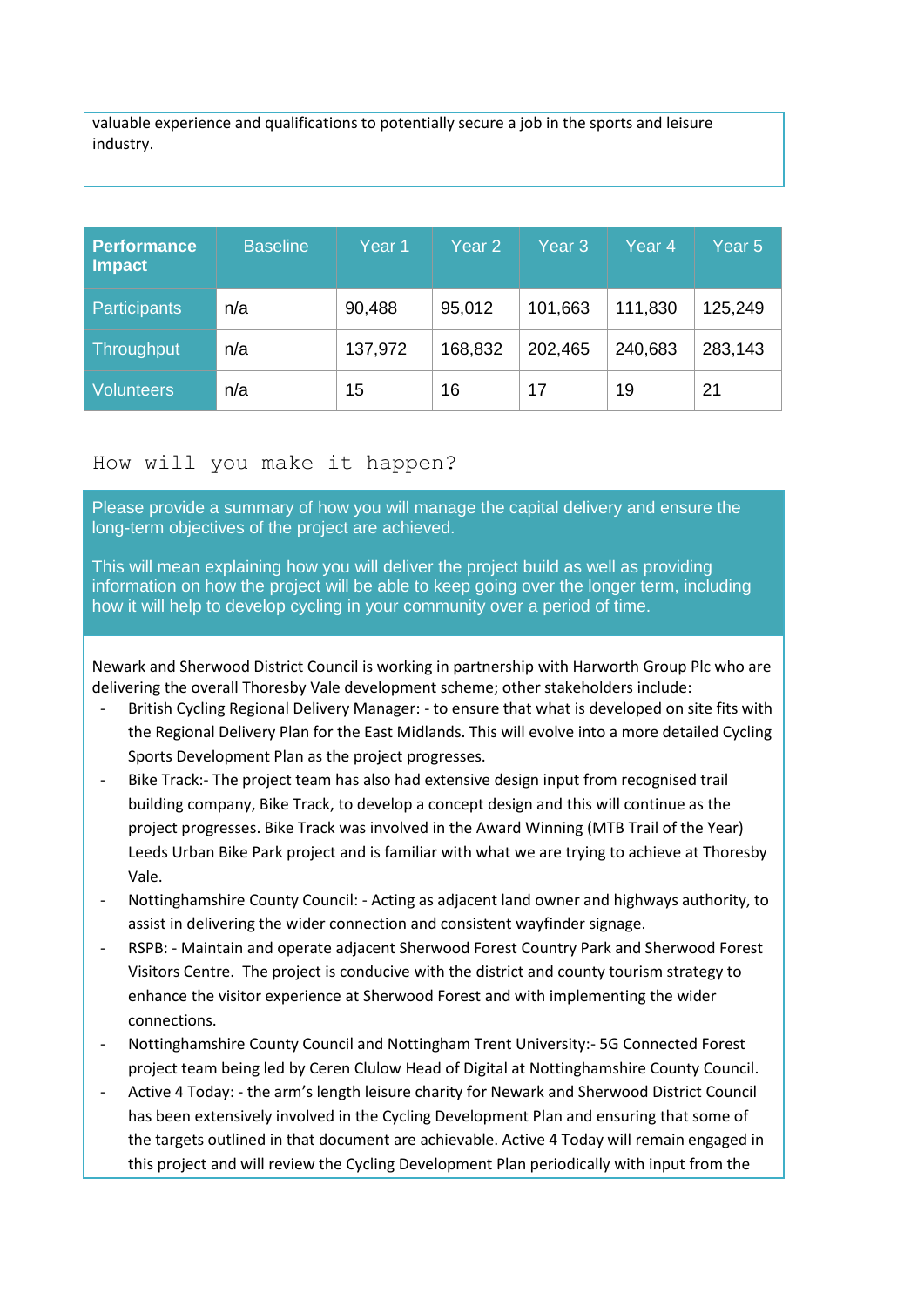valuable experience and qualifications to potentially secure a job in the sports and leisure industry.

| <b>Performance</b><br><b>Impact</b> | <b>Baseline</b> | Year 1  | Year <sub>2</sub> | Year <sub>3</sub> | Year 4  | Year 5  |
|-------------------------------------|-----------------|---------|-------------------|-------------------|---------|---------|
| <b>Participants</b>                 | n/a             | 90,488  | 95,012            | 101,663           | 111,830 | 125,249 |
| <b>Throughput</b>                   | n/a             | 137,972 | 168,832           | 202,465           | 240,683 | 283,143 |
| <b>Volunteers</b>                   | n/a             | 15      | 16                | 17                | 19      | 21      |

# How will you make it happen?

Please provide a summary of how you will manage the capital delivery and ensure the long-term objectives of the project are achieved.

This will mean explaining how you will deliver the project build as well as providing information on how the project will be able to keep going over the longer term, including how it will help to develop cycling in your community over a period of time.  

Newark and Sherwood District Council is working in partnership with Harworth Group Plc who are delivering the overall Thoresby Vale development scheme; other stakeholders include:

- British Cycling Regional Delivery Manager: to ensure that what is developed on site fits with the Regional Delivery Plan for the East Midlands. This will evolve into a more detailed Cycling Sports Development Plan as the project progresses.
- Bike Track:- The project team has also had extensive design input from recognised trail building company, Bike Track, to develop a concept design and this will continue as the project progresses. Bike Track was involved in the Award Winning (MTB Trail of the Year) Leeds Urban Bike Park project and is familiar with what we are trying to achieve at Thoresby Vale.
- Nottinghamshire County Council: Acting as adjacent land owner and highways authority, to assist in delivering the wider connection and consistent wayfinder signage.
- RSPB: Maintain and operate adjacent Sherwood Forest Country Park and Sherwood Forest Visitors Centre. The project is conducive with the district and county tourism strategy to enhance the visitor experience at Sherwood Forest and with implementing the wider connections.
- Nottinghamshire County Council and Nottingham Trent University:- 5G Connected Forest project team being led by Ceren Clulow Head of Digital at Nottinghamshire County Council.
- Active 4 Today: the arm's length leisure charity for Newark and Sherwood District Council has been extensively involved in the Cycling Development Plan and ensuring that some of the targets outlined in that document are achievable. Active 4 Today will remain engaged in this project and will review the Cycling Development Plan periodically with input from the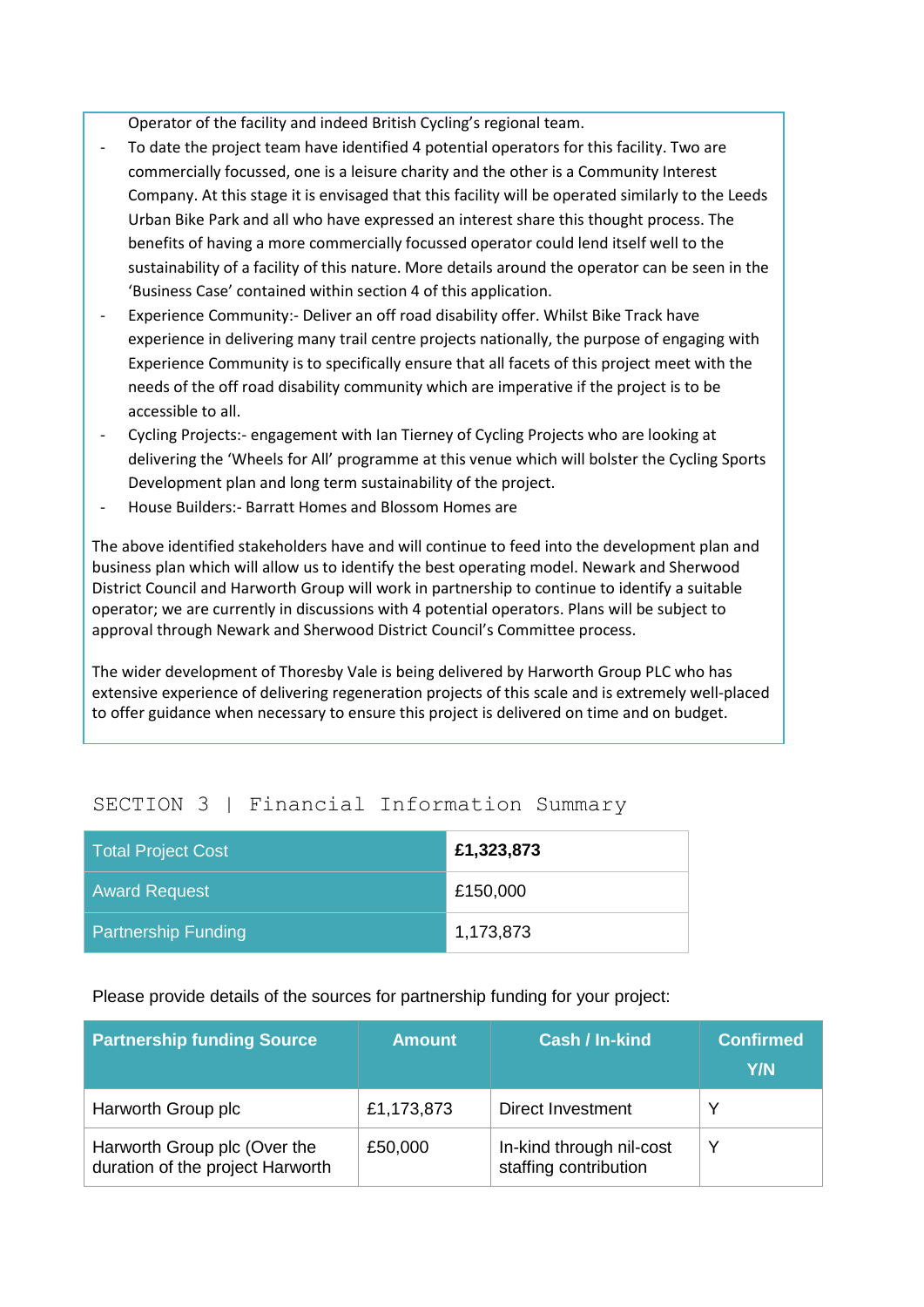Operator of the facility and indeed British Cycling's regional team.

- To date the project team have identified 4 potential operators for this facility. Two are commercially focussed, one is a leisure charity and the other is a Community Interest Company. At this stage it is envisaged that this facility will be operated similarly to the Leeds Urban Bike Park and all who have expressed an interest share this thought process. The benefits of having a more commercially focussed operator could lend itself well to the sustainability of a facility of this nature. More details around the operator can be seen in the 'Business Case' contained within section 4 of this application.
- Experience Community:- Deliver an off road disability offer. Whilst Bike Track have experience in delivering many trail centre projects nationally, the purpose of engaging with Experience Community is to specifically ensure that all facets of this project meet with the needs of the off road disability community which are imperative if the project is to be accessible to all.
- Cycling Projects:- engagement with Ian Tierney of Cycling Projects who are looking at delivering the 'Wheels for All' programme at this venue which will bolster the Cycling Sports Development plan and long term sustainability of the project.
- House Builders:- Barratt Homes and Blossom Homes are

The above identified stakeholders have and will continue to feed into the development plan and business plan which will allow us to identify the best operating model. Newark and Sherwood District Council and Harworth Group will work in partnership to continue to identify a suitable operator; we are currently in discussions with 4 potential operators. Plans will be subject to approval through Newark and Sherwood District Council's Committee process.

The wider development of Thoresby Vale is being delivered by Harworth Group PLC who has extensive experience of delivering regeneration projects of this scale and is extremely well-placed to offer guidance when necessary to ensure this project is delivered on time and on budget.

# SECTION 3 | Financial Information Summary

| <b>Total Project Cost</b>  | £1,323,873 |
|----------------------------|------------|
| <b>Award Request</b>       | £150,000   |
| <b>Partnership Funding</b> | 1,173,873  |

# Please provide details of the sources for partnership funding for your project:

| <b>Partnership funding Source</b>                                | <b>Amount</b> | <b>Cash / In-kind</b>                             | <b>Confirmed</b><br>Y/N |
|------------------------------------------------------------------|---------------|---------------------------------------------------|-------------------------|
| Harworth Group plc                                               | £1,173,873    | Direct Investment                                 | v                       |
| Harworth Group plc (Over the<br>duration of the project Harworth | £50,000       | In-kind through nil-cost<br>staffing contribution | Y                       |